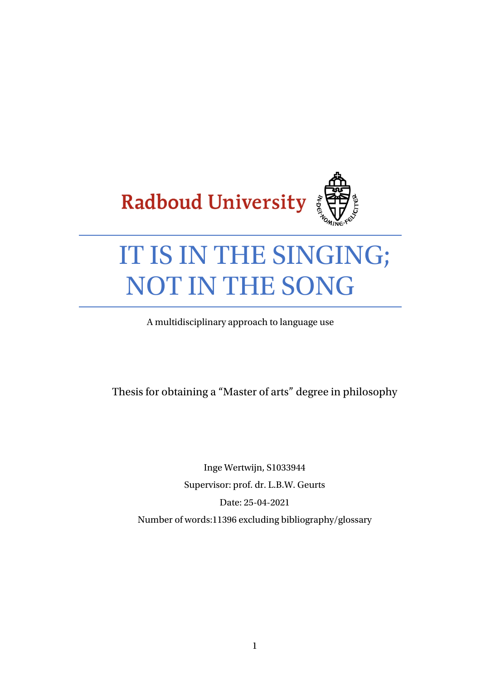

# IT IS IN THE SINGING; NOT IN THE SONG

A multidisciplinary approach to language use

Thesis for obtaining a "Master of arts" degree in philosophy

Inge Wertwijn, S1033944 Supervisor: prof. dr. L.B.W. Geurts Date: 25-04-2021 Number of words:11396 excluding bibliography/glossary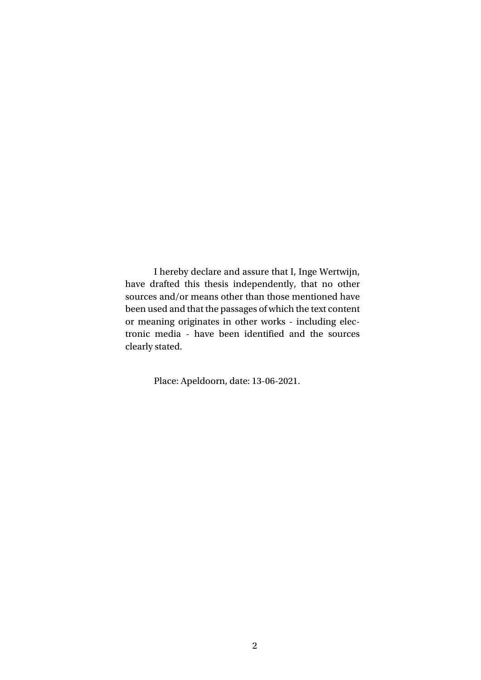I hereby declare and assure that I, Inge Wertwijn, have drafted this thesis independently, that no other sources and/or means other than those mentioned have been used and that the passages of which the text content or meaning originates in other works ‐ including electronic media ‐ have been identified and the sources clearly stated.

Place: Apeldoorn, date: 13-06-2021.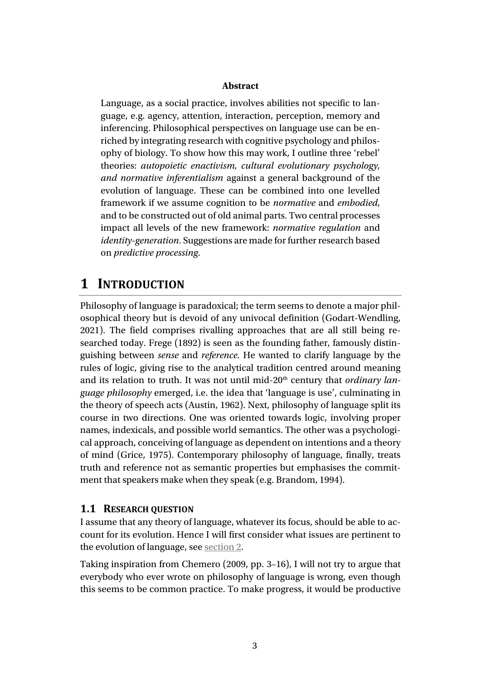#### **Abstract**

Language, as a social practice, involves abilities not specific to language, e.g. agency, attention, interaction, perception, memory and inferencing. Philosophical perspectives on language use can be enriched by integrating research with cognitive psychology and philosophy of biology. To show how this may work, I outline three 'rebel' theories: *autopoietic enactivism, cultural evolutionary psychology, and normative inferentialism* against a general background of the evolution of language. These can be combined into one levelled framework if we assume cognition to be *normative* and *embodied*, and to be constructed out of old animal parts. Two central processes impact all levels of the new framework: *normative regulation* and *identity-generation*. Suggestions are made for further research based on *predictive processing*.

## **1 INTRODUCTION**

Philosophy of language is paradoxical; the term seems to denote a major philosophical theory but is devoid of any univocal definition (Godart-Wendling, 2021). The field comprises rivalling approaches that are all still being researched today. Frege (1892) is seen as the founding father, famously distinguishing between *sense* and *reference.* He wanted to clarify language by the rules of logic, giving rise to the analytical tradition centred around meaning and its relation to truth. It was not until mid-20<sup>th</sup> century that *ordinary language philosophy* emerged, i.e. the idea that 'language is use', culminating in the theory of speech acts (Austin, 1962). Next, philosophy of language split its course in two directions. One was oriented towards logic, involving proper names, indexicals, and possible world semantics. The other was a psychological approach, conceiving of language as dependent on intentions and a theory of mind (Grice, 1975). Contemporary philosophy of language, finally, treats truth and reference not as semantic properties but emphasises the commitment that speakers make when they speak (e.g. Brandom, 1994).

#### <span id="page-2-0"></span>**1.1 RESEARCH QUESTION**

I assume that any theory of language, whatever its focus, should be able to account for its evolution. Hence I will first consider what issues are pertinent to the evolution of language, see [section 2.](#page-4-0)

Taking inspiration from Chemero (2009, pp. 3–16), I will not try to argue that everybody who ever wrote on philosophy of language is wrong, even though this seems to be common practice. To make progress, it would be productive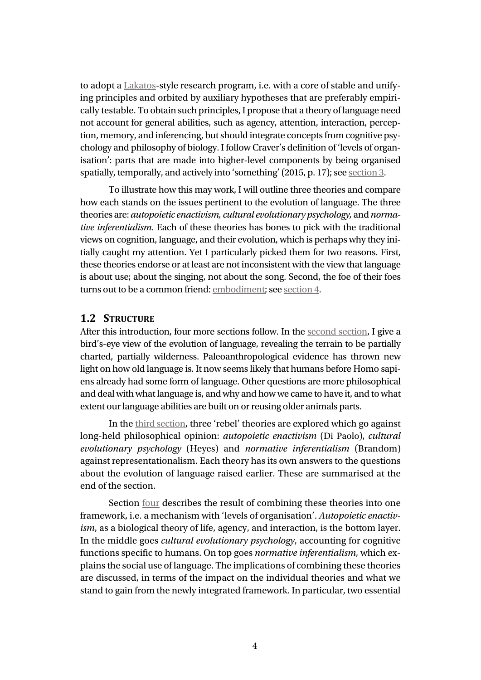to adopt a [Lakatos-](#page-44-0)style research program, i.e. with a core of stable and unifying principles and orbited by auxiliary hypotheses that are preferably empirically testable. To obtain such principles, I propose that a theory of language need not account for general abilities, such as agency, attention, interaction, perception, memory, and inferencing, but should integrate concepts from cognitive psychology and philosophy of biology. I follow Craver's definition of 'levels of organisation': parts that are made into higher-level components by being organised spatially, temporally, and actively into 'something' (2015, p. 17); se[e section 3.](#page-11-0)

To illustrate how this may work, I will outline three theories and compare how each stands on the issues pertinent to the evolution of language. The three theories are: *autopoietic enactivism, cultural evolutionary psychology,* and *normative inferentialism.* Each of these theories has bones to pick with the traditional views on cognition, language, and their evolution, which is perhaps why they initially caught my attention. Yet I particularly picked them for two reasons. First, these theories endorse or at least are not inconsistent with the view that language is about use; about the singing, not about the song. Second, the foe of their foes turns out to be a common friend[: embodiment;](#page-42-0) see section 4.

#### **1.2 STRUCTURE**

After this introduction, four more sections follow. In the [second section,](#page-4-0) I give a bird's-eye view of the evolution of language, revealing the terrain to be partially charted, partially wilderness. Paleoanthropological evidence has thrown new light on how old language is. It now seems likely that humans before Homo sapiens already had some form of language. Other questions are more philosophical and deal with what language is, and why and how we came to have it, and to what extent our language abilities are built on or reusing older animals parts.

In the third [section,](#page-11-0) three 'rebel' theories are explored which go against long-held philosophical opinion: *autopoietic enactivism* (Di Paolo), *cultural evolutionary psychology* (Heyes) and *normative inferentialism* (Brandom) agains[t representationalism.](#page-45-0) Each theory has its own answers to the questions about the evolution of language raised earlier. These are summarised at the end of the section.

Section four describes the result of combining these theories into one framework, i.e. a mechanism with 'levels of organisation'. *Autopoietic enactivism*, as a biological theory of life, agency, and interaction, is the bottom layer. In the middle goes *cultural evolutionary psychology*, accounting for cognitive functions specific to humans. On top goes *normative inferentialism,* which explains the social use of language. The implications of combining these theories are discussed, in terms of the impact on the individual theories and what we stand to gain from the newly integrated framework. In particular, two essential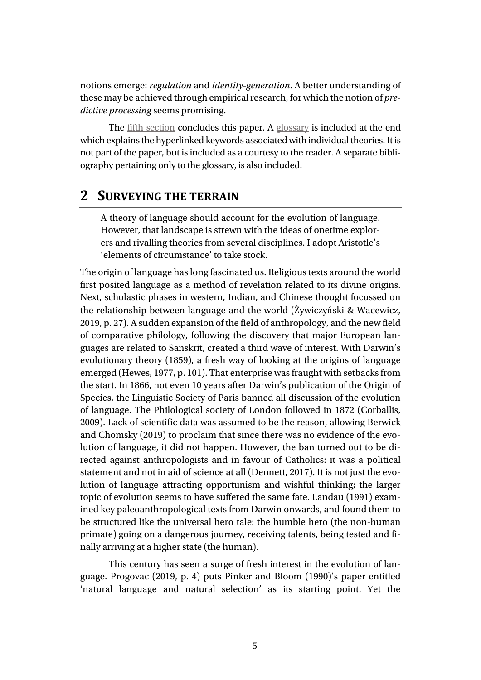notions emerge: *regulation* and *identity-generation*. A better understanding of these may be achieved through empirical research, for which the notion of *predictive processing* seems promising.

The fifth [section](#page-30-0) concludes this paper. A glossary is included at the end which explains the hyperlinked keywords associated with individual theories. It is not part of the paper, but is included as a courtesy to the reader. A separate bibliography pertaining only to the glossary, is also included.

## <span id="page-4-0"></span>**2 SURVEYING THE TERRAIN**

A theory of language should account for the evolution of language. However, that landscape is strewn with the ideas of onetime explorers and rivalling theories from several disciplines. I adopt Aristotle's 'elements of circumstance' to take stock.

The origin of language has long fascinated us. Religious texts around the world first posited language as a method of revelation related to its divine origins. Next, scholastic phases in western, Indian, and Chinese thought focussed on the relationship between language and the world (Żywiczyński & Wacewicz, 2019, p. 27). A sudden expansion of the field of anthropology, and the new field of comparative philology, following the discovery that major European languages are related to Sanskrit, created a third wave of interest. With Darwin's evolutionary theory (1859), a fresh way of looking at the origins of language emerged (Hewes, 1977, p. 101). That enterprise was fraught with setbacks from the start. In 1866, not even 10 years after Darwin's publication of the Origin of Species, the Linguistic Society of Paris banned all discussion of the evolution of language. The Philological society of London followed in 1872 (Corballis, 2009). Lack of scientific data was assumed to be the reason, allowing Berwick and Chomsky (2019) to proclaim that since there was no evidence of the evolution of language, it did not happen. However, the ban turned out to be directed against anthropologists and in favour of Catholics: it was a political statement and not in aid of science at all (Dennett, 2017). It is not just the evolution of language attracting opportunism and wishful thinking; the larger topic of evolution seems to have suffered the same fate. Landau (1991) examined key paleoanthropological texts from Darwin onwards, and found them to be structured like the universal hero tale: the humble hero (the non-human primate) going on a dangerous journey, receiving talents, being tested and finally arriving at a higher state (the human).

This century has seen a surge of fresh interest in the evolution of language. Progovac (2019, p. 4) puts Pinker and Bloom (1990)'s paper entitled 'natural language and natural selection' as its starting point. Yet the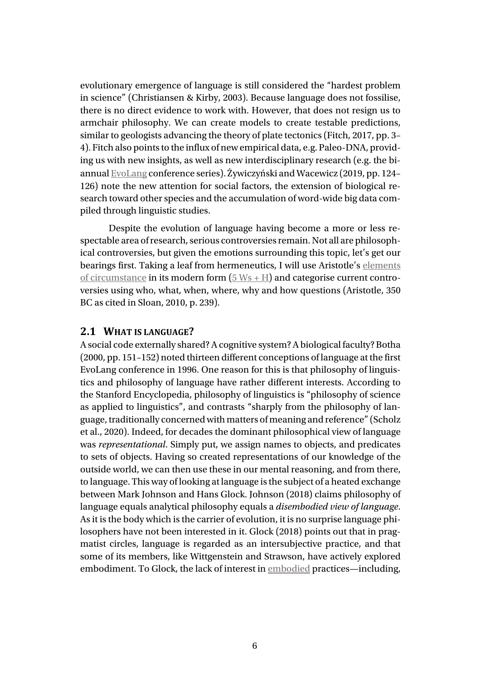evolutionary emergence of language is still considered the "hardest problem in science" (Christiansen & Kirby, 2003). Because language does not fossilise, there is no direct evidence to work with. However, that does not resign us to armchair philosophy. We can create models to create testable predictions, similar to geologists advancing the theory of plate tectonics (Fitch, 2017, pp. 3– 4). Fitch also points to the influx of new empirical data, e.g. Paleo-DNA, providing us with new insights, as well as new interdisciplinary research (e.g. the biannua[l EvoLang](http://www.evolang.org/) conference series). Żywiczyński and Wacewicz (2019, pp. 124– 126) note the new attention for social factors, the extension of biological research toward other species and the accumulation of word-wide big data compiled through linguistic studies.

Despite the evolution of language having become a more or less respectable area ofresearch, serious controversies remain. Not all are philosophical controversies, but given the emotions surrounding this topic, let's get our bearings first. Taking a leaf from hermeneutics, I will use Aristotle's [elements](#page-40-0) of [circumstance](#page-40-0) in its modern form  $(5 Ws + H)$  $(5 Ws + H)$  $(5 Ws + H)$  and categorise current controversies using who, what, when, where, why and how questions (Aristotle, 350 BC as cited in Sloan, 2010, p. 239).

#### **2.1 WHAT IS LANGUAGE?**

<span id="page-5-0"></span>A social code externally shared?A cognitive system?A biological faculty? Botha (2000, pp. 151–152) noted thirteen different conceptions of language at the first EvoLang conference in 1996. One reason for this is that philosophy of linguistics and philosophy of language have rather different interests. According to the Stanford Encyclopedia, philosophy of linguistics is "philosophy of science as applied to linguistics", and contrasts "sharply from the philosophy of language, traditionally concerned with matters of meaning and reference" (Scholz et al., 2020). Indeed, for decades the dominant philosophical view of language was *representational*. Simply put, we assign names to objects, and predicates to sets of objects. Having so created representations of our knowledge of the outside world, we can then use these in our mental reasoning, and from there, to language. This way of looking at language is the subject of a heated exchange between Mark Johnson and Hans Glock. Johnson (2018) claims philosophy of language equals analytical philosophy equals a *disembodied view of language*. As it is the body which is the carrier of evolution, it is no surprise language philosophers have not been interested in it. Glock (2018) points out that in pragmatist circles, language is regarded as an intersubjective practice, and that some of its members, like Wittgenstein and Strawson, have actively explored embodiment. To Glock, the lack of interest i[n embodied](#page-42-0) practices—including,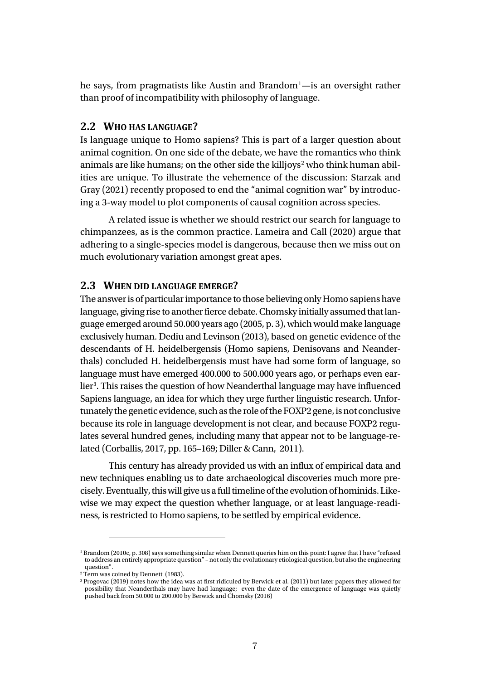he says, from pragmatists like Austin and Brandom<sup>[1](#page-6-0)</sup>—is an oversight rather than proof of incompatibility with philosophy of language.

#### **2.2 WHO HAS LANGUAGE?**

Is language unique to Homo sapiens? This is part of a larger question about animal cognition. On one side of the debate, we have the romantics who think animals are like humans; on the other side the killjoys<sup>[2](#page-6-1)</sup> who think human abilities are unique. To illustrate the vehemence of the discussion: Starzak and Gray (2021) recently proposed to end the "animal cognition war" by introducing a 3-way model to plot components of causal cognition across species.

A related issue is whether we should restrict our search for language to chimpanzees, as is the common practice. Lameira and Call (2020) argue that adhering to a single-species model is dangerous, because then we miss out on much evolutionary variation amongst great apes.

#### **2.3 WHEN DID LANGUAGE EMERGE?**

The answer is of particular importance to those believing only Homo sapiens have language, giving rise to another fierce debate. Chomsky initially assumed that language emerged around 50.000 years ago (2005, p. 3), which would make language exclusively human. Dediu and Levinson (2013), based on genetic evidence of the descendants of H. heidelbergensis (Homo sapiens, Denisovans and Neanderthals) concluded H. heidelbergensis must have had some form of language, so language must have emerged 400.000 to 500.000 years ago, or perhaps even ear-lier<sup>[3](#page-6-2)</sup>. This raises the question of how Neanderthal language may have influenced Sapiens language, an idea for which they urge further linguistic research. Unfortunately the genetic evidence, such as the role of the FOXP2 gene, is not conclusive because its role in language development is not clear, and because FOXP2 regulates several hundred genes, including many that appear not to be language-related (Corballis, 2017, pp. 165–169; Diller & Cann, 2011).

This century has already provided us with an influx of empirical data and new techniques enabling us to date archaeological discoveries much more precisely. Eventually, this will give us a full timeline of the evolution of hominids. Likewise we may expect the question whether language, or at least language-readiness, is restricted to Homo sapiens, to be settled by empirical evidence.

<span id="page-6-0"></span><sup>&</sup>lt;sup>1</sup> Brandom (2010c, p. 308) says something similar when Dennett queries him on this point: I agree that I have "refused to address an entirely appropriate question" – not only the evolutionary etiological question, but also the engineering question".

<span id="page-6-1"></span><sup>&</sup>lt;sup>2</sup> Term was coined by Dennett (1983).

<span id="page-6-2"></span><sup>3</sup> Progovac (2019) notes how the idea was at first ridiculed by Berwick et al. (2011) but later papers they allowed for possibility that Neanderthals may have had language; even the date of the emergence of language was quietly pushed back from 50.000 to 200.000 by Berwick and Chomsky (2016)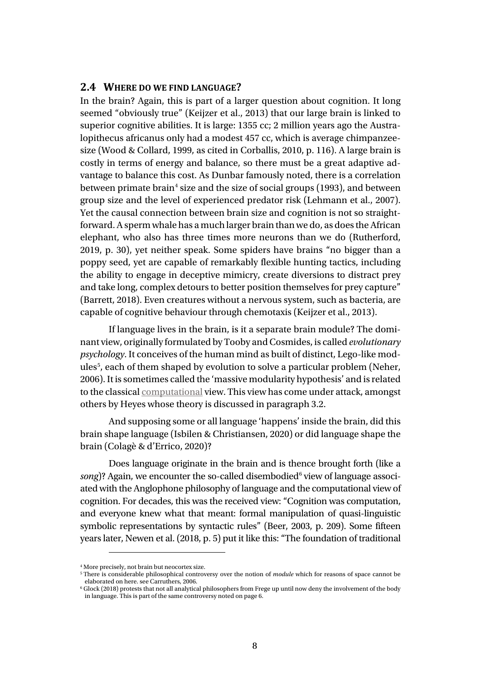#### **2.4 WHERE DO WE FIND LANGUAGE?**

In the brain? Again, this is part of a larger question about cognition. It long seemed "obviously true" (Keijzer et al., 2013) that our large brain is linked to superior cognitive abilities. It is large: 1355 cc; 2 million years ago the Australopithecus africanus only had a modest 457 cc, which is average chimpanzeesize (Wood & Collard, 1999, as cited in Corballis, 2010, p. 116). A large brain is costly in terms of energy and balance, so there must be a great adaptive advantage to balance this cost. As Dunbar famously noted, there is a correlation between primate brain<sup>[4](#page-7-0)</sup> size and the size of social groups (1993), and between group size and the level of experienced predator risk (Lehmann et al., 2007). Yet the causal connection between brain size and cognition is not so straightforward.Asperm whale has a much larger brain than we do, as does the African elephant, who also has three times more neurons than we do (Rutherford, 2019, p. 30), yet neither speak. Some spiders have brains "no bigger than a poppy seed, yet are capable of remarkably flexible hunting tactics, including the ability to engage in deceptive mimicry, create diversions to distract prey and take long, complex detours to better position themselves for prey capture" (Barrett, 2018). Even creatures without a nervous system, such as bacteria, are capable of cognitive behaviour through chemotaxis (Keijzer et al., 2013).

If language lives in the brain, is it a separate brain module? The dominant view, originally formulated by Tooby and Cosmides, is called *evolutionary psychology*. It conceives of the human mind as built of distinct, Lego-like mod-ules<sup>[5](#page-7-1)</sup>, each of them shaped by evolution to solve a particular problem (Neher, 2006). It is sometimes called the 'massive modularity hypothesis' and is related to the classica[l computational](#page-40-1) view. This view has come under attack, amongst others by Heyes whose theory is discussed in paragrap[h 3.2.](#page-15-0)

And supposing some or all language 'happens' inside the brain, did this brain shape language (Isbilen & Christiansen, 2020) or did language shape the brain (Colagè & d'Errico, 2020)?

Does language originate in the brain and is thence brought forth (like a *song*)? Again, we encounter the so-called disembodied<sup>[6](#page-7-2)</sup> view of language associated with the Anglophone philosophy of language and the computational view of cognition. For decades, this was the received view: "Cognition was computation, and everyone knew what that meant: formal manipulation of quasi-linguistic symbolic representations by syntactic rules" (Beer, 2003, p. 209). Some fifteen years later, Newen et al. (2018, p. 5) put it like this: "The foundation of traditional

<sup>4</sup> More precisely, not brain but neocortex size.

<span id="page-7-1"></span><span id="page-7-0"></span><sup>5</sup> There is considerable philosophical controversy over the notion of *module* which for reasons of space cannot be elaborated on here. see Carruthers, 2006.

<span id="page-7-2"></span> $6$  Glock (2018) protests that not all analytical philosophers from Frege up until now deny the involvement of the body in language. This is part of the same controversy noted on pag[e 6.](#page-5-0)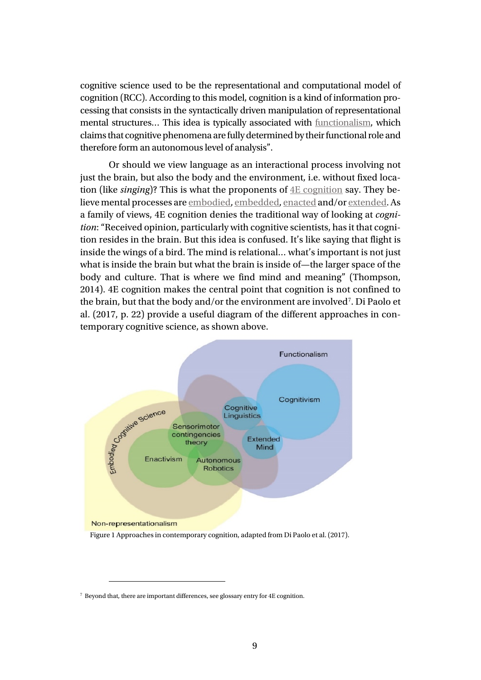cognitive science used to be the representational and computational model of cognition (RCC). According to this model, cognition is a kind of information processing that consists in the syntactically driven manipulation of representational mental structures… This idea is typically associated with [functionalism,](#page-44-1) which claims that cognitive phenomena are fully determined by their functional role and therefore form an autonomous level of analysis".

Or should we view language as an interactional process involving not just the brain, but also the body and the environment, i.e. without fixed location (like *singing*)? This is what the proponents of [4E cognition](#page-38-1) say. They believe mental processes ar[e embodied,](#page-43-0) embedded, enacted and/or extended. As a family of views, 4E cognition denies the traditional way of looking at *cognition*: "Received opinion, particularly with cognitive scientists, has it that cognition resides in the brain. But this idea is confused. It's like saying that flight is inside the wings of a bird. The mind is relational… what's important is not just what is inside the brain but what the brain is inside of—the larger space of the body and culture. That is where we find mind and meaning" (Thompson, 2014). 4E cognition makes the central point that cognition is not confined to the brain, but that the body and/or the environment are involved<sup>[7](#page-8-0)</sup>. Di Paolo et al. (2017, p. 22) provide a useful diagram of the different approaches in contemporary cognitive science, as shown above.



<span id="page-8-0"></span><sup>7</sup> Beyond that, there are important differences, see glossary entry for 4E cognition.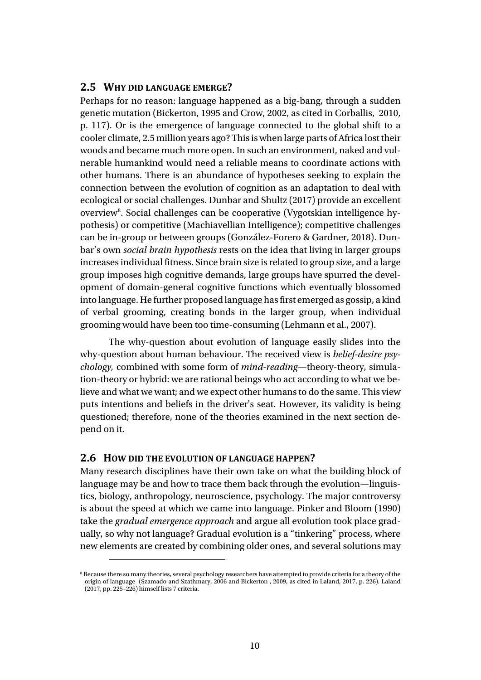#### **2.5 WHY DID LANGUAGE EMERGE?**

Perhaps for no reason: language happened as a big-bang, through a sudden genetic mutation (Bickerton, 1995 and Crow, 2002, as cited in Corballis, 2010, p. 117). Or is the emergence of language connected to the global shift to a cooler climate, 2.5 million years ago? This is when large parts of Africa lost their woods and became much more open. In such an environment, naked and vulnerable humankind would need a reliable means to coordinate actions with other humans. There is an abundance of hypotheses seeking to explain the connection between the evolution of cognition as an adaptation to deal with ecological or social challenges. Dunbar and Shultz (2017) provide an excellent overview<sup>[8](#page-9-0)</sup>. Social challenges can be cooperative (Vygotskian intelligence hypothesis) or competitive (Machiavellian Intelligence); competitive challenges can be in-group or between groups (González-Forero & Gardner, 2018). Dunbar's own *social brain hypothesis* rests on the idea that living in larger groups increases individual fitness. Since brain size is related to group size, and a large group imposes high cognitive demands, large groups have spurred the development of domain-general cognitive functions which eventually blossomed into language. He further proposed language has first emerged as gossip, a kind of verbal grooming, creating bonds in the larger group, when individual grooming would have been too time-consuming (Lehmann et al., 2007).

The why-question about evolution of language easily slides into the why-question about human behaviour. The received view is *belief-desire psychology,* combined with some form of *mind-reading*—theory-theory, simulation-theory or hybrid: we are rational beings who act according to what we believe and what we want; and we expect other humans to do the same. This view puts intentions and beliefs in the driver's seat. However, its validity is being questioned; therefore, none of the theories examined in the next section depend on it.

#### **2.6 HOW DID THE EVOLUTION OF LANGUAGE HAPPEN?**

Many research disciplines have their own take on what the building block of language may be and how to trace them back through the evolution—linguistics, biology, anthropology, neuroscience, psychology. The major controversy is about the speed at which we came into language. Pinker and Bloom (1990) take the *gradual emergence approach* and argue all evolution took place gradually, so why not language? Gradual evolution is a "tinkering" process, where new elements are created by combining older ones, and several solutions may

<span id="page-9-0"></span><sup>&</sup>lt;sup>8</sup> Because there so many theories, several psychology researchers have attempted to provide criteria for a theory of the origin of language (Szamado and Szathmary, 2006 and Bickerton , 2009, as cited in Laland, 2017, p. 226). Laland (2017, pp. 225–226) himself lists 7 criteria.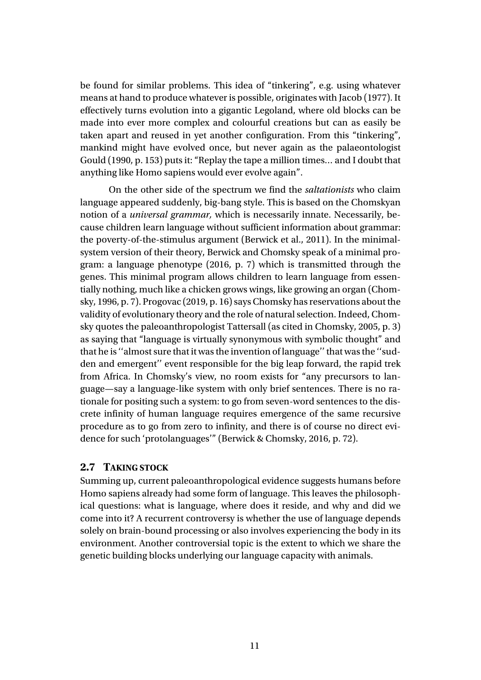be found for similar problems. This idea of "tinkering", e.g. using whatever means at hand to produce whatever is possible, originates with Jacob (1977). It effectively turns evolution into a gigantic Legoland, where old blocks can be made into ever more complex and colourful creations but can as easily be taken apart and reused in yet another configuration. From this "tinkering", mankind might have evolved once, but never again as the palaeontologist Gould (1990, p. 153) puts it: "Replay the tape a million times… and I doubt that anything like Homo sapiens would ever evolve again".

On the other side of the spectrum we find the *saltationists* who claim language appeared suddenly, big-bang style. This is based on the Chomskyan notion of a *universal grammar,* which is necessarily innate. Necessarily, because children learn language without sufficient information about grammar: the poverty-of-the-stimulus argument (Berwick et al., 2011). In the minimalsystem version of their theory, Berwick and Chomsky speak of a minimal program: a language phenotype (2016, p. 7) which is transmitted through the genes. This minimal program allows children to learn language from essentially nothing, much like a chicken grows wings, like growing an organ (Chomsky, 1996, p. 7). Progovac (2019, p. 16) says Chomsky has reservations about the validity of evolutionary theory and the role of natural selection. Indeed, Chomsky quotes the paleoanthropologist Tattersall (as cited in Chomsky, 2005, p. 3) as saying that "language is virtually synonymous with symbolic thought" and that he is ''almost sure that it was the invention of language'' that was the ''sudden and emergent'' event responsible for the big leap forward, the rapid trek from Africa. In Chomsky's view, no room exists for "any precursors to language—say a language-like system with only brief sentences. There is no rationale for positing such a system: to go from seven-word sentences to the discrete infinity of human language requires emergence of the same recursive procedure as to go from zero to infinity, and there is of course no direct evidence for such 'protolanguages'" (Berwick & Chomsky, 2016, p. 72).

#### **2.7 TAKING STOCK**

Summing up, current paleoanthropological evidence suggests humans before Homo sapiens already had some form of language. This leaves the philosophical questions: what is language, where does it reside, and why and did we come into it? A recurrent controversy is whether the use of language depends solely on brain-bound processing or also involves experiencing the body in its environment. Another controversial topic is the extent to which we share the genetic building blocks underlying our language capacity with animals.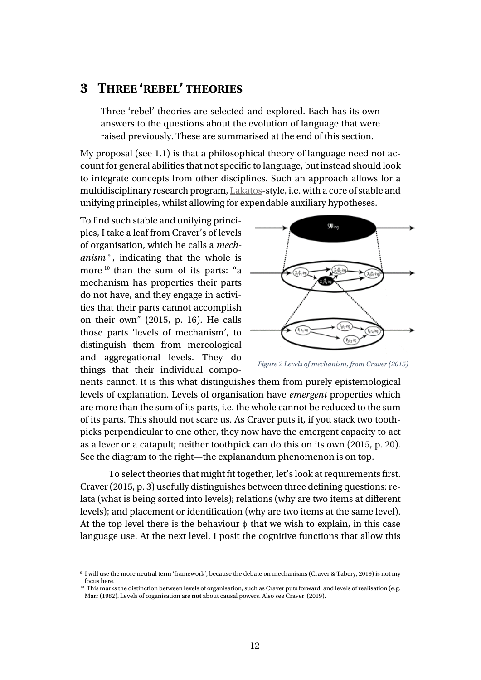## <span id="page-11-0"></span>**3 THREE 'REBEL' THEORIES**

Three 'rebel' theories are selected and explored. Each has its own answers to the questions about the evolution of language that were raised previously. These are summarised at the end of this section.

My proposal (see [1.1\)](#page-2-0) is that a philosophical theory of language need not account for general abilities that not specific to language, but instead should look to integrate concepts from other disciplines. Such an approach allows for a multidisciplinary research program, [Lakatos-](#page-44-0)style, i.e. with a core of stable and unifying principles, whilst allowing for expendable auxiliary hypotheses.

<span id="page-11-3"></span>To find such stable and unifying principles, I take a leaf from Craver's of levels of organisation, which he calls a *mechanism*<sup>[9](#page-11-1)</sup>, indicating that the whole is more <sup>[10](#page-11-2)</sup> than the sum of its parts: "a mechanism has properties their parts do not have, and they engage in activities that their parts cannot accomplish on their own" (2015, p. 16). He calls those parts 'levels of mechanism', to distinguish them from mereological and aggregational levels. They do things that their individual compo-



*Figure 2 Levels of mechanism, from Craver (2015)*

nents cannot. It is this what distinguishes them from purely epistemological levels of explanation. Levels of organisation have *emergent* properties which are more than the sum of its parts, i.e. the whole cannot be reduced to the sum of its parts. This should not scare us. As Craver puts it, if you stack two toothpicks perpendicular to one other, they now have the emergent capacity to act as a lever or a catapult; neither toothpick can do this on its own (2015, p. 20). See the diagram to the right—the explanandum phenomenon is on top.

To select theories that might fit together, let's look at requirements first. Craver (2015, p. 3) usefully distinguishes between three defining questions: relata (what is being sorted into levels); relations (why are two items at different levels); and placement or identification (why are two items at the same level). At the top level there is the behaviour  $\phi$  that we wish to explain, in this case language use. At the next level, I posit the cognitive functions that allow this

<span id="page-11-1"></span><sup>9</sup> I will use the more neutral term 'framework', because the debate on mechanisms (Craver & Tabery, 2019) is not my focus here.

<span id="page-11-2"></span><sup>&</sup>lt;sup>10</sup> This marks the distinction between levels of organisation, such as Craver puts forward, and levels of realisation (e.g. Marr (1982). Levels of organisation are **not** about causal powers. Also see Craver (2019).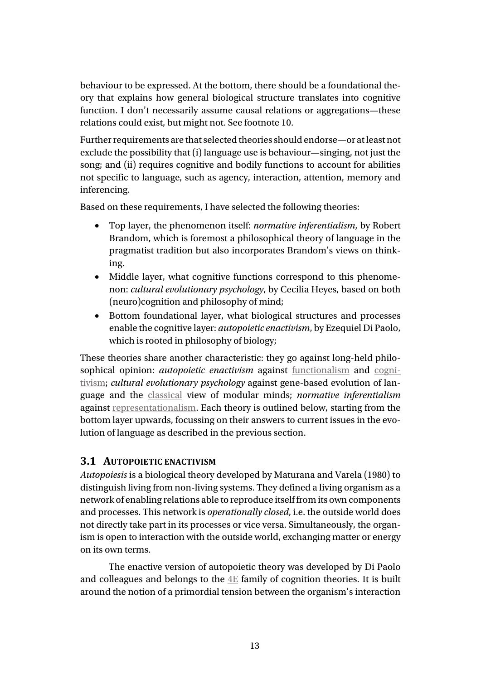behaviour to be expressed. At the bottom, there should be a foundational theory that explains how general biological structure translates into cognitive function. I don't necessarily assume causal relations or aggregations—these relations could exist, but might not. See footnote [10.](#page-11-3)

Further requirements are that selected theories should endorse—or at least not exclude the possibility that (i) language use is behaviour—singing, not just the song; and (ii) requires cognitive and bodily functions to account for abilities not specific to language, such as agency, interaction, attention, memory and inferencing.

Based on these requirements, I have selected the following theories:

- Top layer, the phenomenon itself: *normative inferentialism*, by Robert Brandom, which is foremost a philosophical theory of language in the pragmatist tradition but also incorporates Brandom's views on thinking.
- Middle layer, what cognitive functions correspond to this phenomenon: *cultural evolutionary psychology*, by Cecilia Heyes, based on both (neuro)cognition and philosophy of mind;
- Bottom foundational layer, what biological structures and processes enable the cognitive layer: *autopoietic enactivism*, by Ezequiel Di Paolo, which is rooted in philosophy of biology;

These theories share another characteristic: they go against long-held philosophical opinion: *autopoietic enactivism* against <u>[functionalism](#page-44-1)</u> and [cogni](#page-40-2)[tivism;](#page-40-2) *cultural evolutionary psychology* against gene-based evolution of language and the [classical](#page-40-1) view of modular minds; *normative inferentialism* against [representationalism.](#page-45-0) Each theory is outlined below, starting from the bottom layer upwards, focussing on their answers to current issues in the evolution of language as described in the previous section.

#### <span id="page-12-0"></span>**3.1 AUTOPOIETIC ENACTIVISM**

*Autopoiesis* is a biological theory developed by Maturana and Varela (1980) to distinguish living from non-living systems. They defined a living organism as a network of enabling relations able to reproduce itself from its own components and processes. This network is *operationally closed*, i.e. the outside world does not directly take part in its processes or vice versa. Simultaneously, the organism is open to interaction with the outside world, exchanging matter or energy on its own terms.

The enactive version of autopoietic theory was developed by Di Paolo and colleagues and belongs to the [4E](#page-38-1) family of cognition theories. It is built around the notion of a primordial tension between the organism's interaction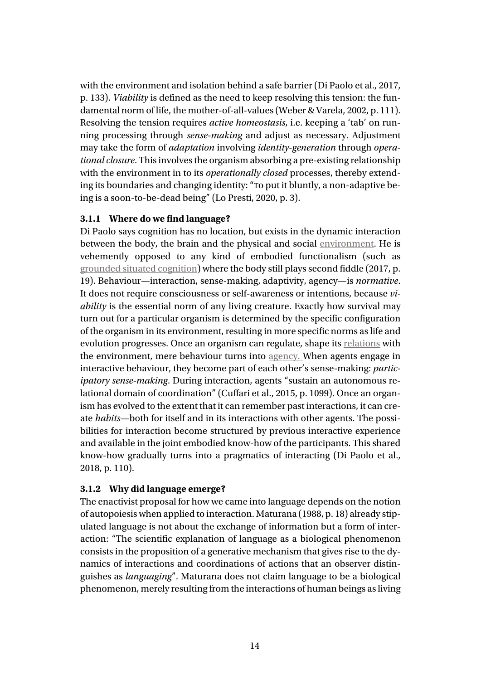with the environment and isolation behind a safe barrier (Di Paolo et al., 2017, p. 133). *Viability* is defined as the need to keep resolving this tension: the fundamental norm of life, the mother-of-all-values (Weber & Varela, 2002, p. 111). Resolving the tension requires *active homeostasis*, i.e. keeping a 'tab' on running processing through *sense-making* and adjust as necessary. Adjustment may take the form of *adaptation* involving *identity-generation* through *operational closure*. This involves the organism absorbing a pre-existing relationship with the environment in to its *operationally closed* processes, thereby extending its boundaries and changing identity: "To put it bluntly, a non-adaptive being is a soon-to-be-dead being" (Lo Presti, 2020, p. 3).

#### **3.1.1 Where do we find language?**

Di Paolo says cognition has no location, but exists in the dynamic interaction between the body, the brain and the physical and social [environment.](#page-43-1) He is vehemently opposed to any kind of embodied functionalism (such as [grounded situated cognition\)](#page-46-0) where the body still plays second fiddle (2017, p. 19). Behaviour—interaction, sense-making, adaptivity, agency—is *normative*. It does not require consciousness or self-awareness or intentions, because *viability* is the essential norm of any living creature. Exactly how survival may turn out for a particular organism is determined by the specific configuration of the organism in its environment, resulting in more specific norms as life and evolution progresses. Once an organism can regulate, shape its [relations](#page-41-0) with the environment, mere behaviour turns into [agency.](#page-39-0) When agents engage in interactive behaviour, they become part of each other's sense-making: *participatory sense-making*. During interaction, agents "sustain an autonomous relational domain of coordination" (Cuffari et al., 2015, p. 1099). Once an organism has evolved to the extent that it can remember past interactions, it can create *habits*—both for itself and in its interactions with other agents. The possibilities for interaction become structured by previous interactive experience and available in the joint embodied know-how of the participants. This shared know-how gradually turns into a pragmatics of interacting (Di Paolo et al., 2018, p. 110).

#### **3.1.2 Why did language emerge?**

The enactivist proposal for how we came into language depends on the notion of autopoiesis when applied to interaction. Maturana (1988, p. 18) already stipulated language is not about the exchange of information but a form of interaction: "The scientific explanation of language as a biological phenomenon consists in the proposition of a generative mechanism that gives rise to the dynamics of interactions and coordinations of actions that an observer distinguishes as *languaging*". Maturana does not claim language to be a biological phenomenon, merely resulting from the interactions of human beings as living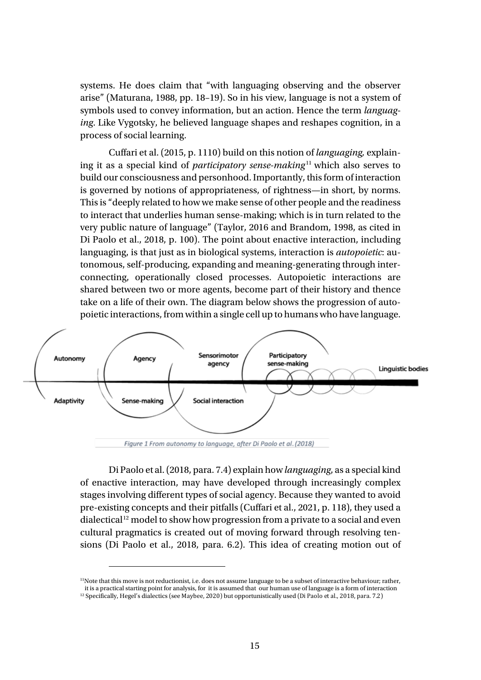<span id="page-14-2"></span>systems. He does claim that "with languaging observing and the observer arise" (Maturana, 1988, pp. 18–19). So in his view, language is not a system of symbols used to convey information, but an action. Hence the term *languaging*. Like Vygotsky, he believed language shapes and reshapes cognition, in a process of social learning.

Cuffari et al. (2015, p. 1110) build on this notion of *languaging,* explaining it as a special kind of *participatory sense-making* [11](#page-14-0) which also serves to build our consciousness and personhood. Importantly, this form of interaction is governed by notions of appropriateness, of rightness—in short, by norms. This is "deeply related to how we make sense of other people and the readiness to interact that underlies human sense-making; which is in turn related to the very public nature of language" (Taylor, 2016 and Brandom, 1998, as cited in Di Paolo et al., 2018, p. 100). The point about enactive interaction, including languaging, is that just as in biological systems, interaction is *autopoietic*: autonomous, self-producing, expanding and meaning-generating through interconnecting, operationally closed processes. Autopoietic interactions are shared between two or more agents, become part of their history and thence take on a life of their own. The diagram below shows the progression of autopoietic interactions, from within a single cell up to humans who have language.



Figure 1 From autonomy to language, after Di Paolo et al. (2018)

Di Paolo et al. (2018, para. 7.4) explain how *languaging*, as a special kind of enactive interaction, may have developed through increasingly complex stages involving different types of social agency. Because they wanted to avoid pre-existing concepts and their pitfalls (Cuffari et al., 2021, p. 118), they used a dialectical<sup>[12](#page-14-1)</sup> model to show how progression from a private to a social and even cultural pragmatics is created out of moving forward through resolving tensions (Di Paolo et al., 2018, para. 6.2). This idea of creating motion out of

<span id="page-14-0"></span><sup>11</sup>Note that this move is not reductionist, i.e. does not assume language to be a subset of interactive behaviour; rather, it is a practical starting point for analysis, for it is assumed that our human use of language is a form of interaction

<span id="page-14-1"></span><sup>&</sup>lt;sup>12</sup> Specifically, Hegel's dialectics (see Maybee, 2020) but opportunistically used (Di Paolo et al., 2018, para. 7.2)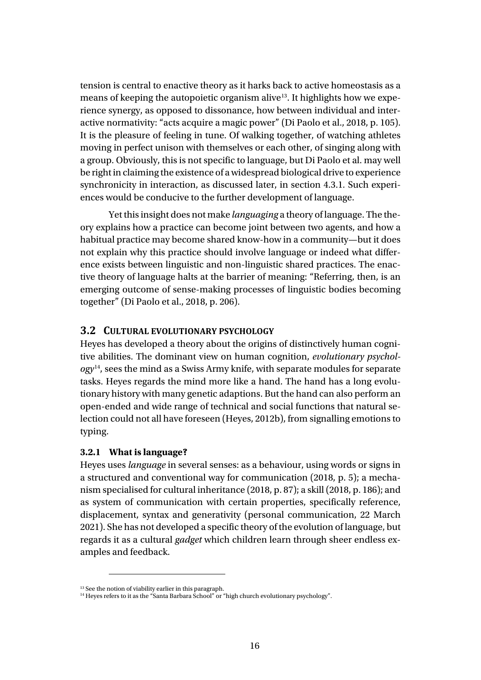tension is central to enactive theory as it harks back to active homeostasis as a means of keeping the autopoietic organism alive<sup>[13](#page-15-1)</sup>. It highlights how we experience synergy, as opposed to dissonance, how between individual and interactive normativity: "acts acquire a magic power" (Di Paolo et al., 2018, p. 105). It is the pleasure of feeling in tune. Of walking together, of watching athletes moving in perfect unison with themselves or each other, of singing along with a group. Obviously, this is not specific to language, but Di Paolo et al. may well be right in claiming the existence of a widespread biological drive to experience synchronicity in interaction, as discussed later, in section [4.3.1](#page-25-0)*.* Such experiences would be conducive to the further development of language.

Yet this insight does not make *languaging* a theory of language. The theory explains how a practice can become joint between two agents, and how a habitual practice may become shared know-how in a community—but it does not explain why this practice should involve language or indeed what difference exists between linguistic and non-linguistic shared practices. The enactive theory of language halts at the barrier of meaning: "Referring, then, is an emerging outcome of sense-making processes of linguistic bodies becoming together" (Di Paolo et al., 2018, p. 206).

#### <span id="page-15-0"></span>**3.2 CULTURAL EVOLUTIONARY PSYCHOLOGY**

Heyes has developed a theory about the origins of distinctively human cognitive abilities. The dominant view on human cognition, *evolutionary psychology*[14](#page-15-2), sees the mind as a Swiss Army knife, with separate modules for separate tasks. Heyes regards the mind more like a hand. The hand has a long evolutionary history with many genetic adaptions. But the hand can also perform an open-ended and wide range of technical and social functions that natural selection could not all have foreseen (Heyes, 2012b), from signalling emotions to typing.

#### **3.2.1 What is language?**

Heyes uses *language* in several senses: as a behaviour, using words or signs in a structured and conventional way for communication (2018, p. 5); a mechanism specialised for cultural inheritance (2018, p. 87); a skill (2018, p. 186); and as system of communication with certain properties, specifically reference, displacement, syntax and generativity (personal communication, 22 March 2021). She has not developed a specific theory of the evolution of language, but regards it as a cultural *gadget* which children learn through sheer endless examples and feedback.

<sup>&</sup>lt;sup>13</sup> See the notion of viability earlier in this paragraph.

<span id="page-15-2"></span><span id="page-15-1"></span><sup>&</sup>lt;sup>14</sup> Heyes refers to it as the "Santa Barbara School" or "high church evolutionary psychology".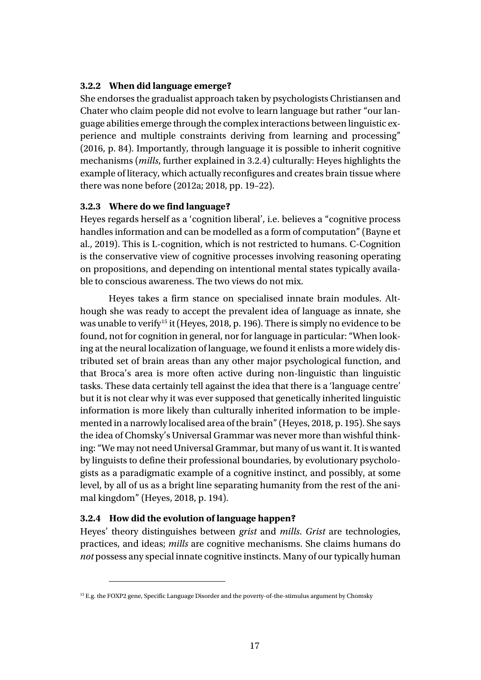#### **3.2.2 When did language emerge?**

She endorses the gradualist approach taken by psychologists Christiansen and Chater who claim people did not evolve to learn language but rather "our language abilities emerge through the complex interactions between linguistic experience and multiple constraints deriving from learning and processing" (2016, p. 84). Importantly, through language it is possible to inherit cognitive mechanisms (*mills*, further explained in [3.2.4\)](#page-16-0) culturally: Heyes highlights the example of literacy, which actually reconfigures and creates brain tissue where there was none before (2012a; 2018, pp. 19–22).

#### **3.2.3 Where do we find language?**

Heyes regards herself as a 'cognition liberal', i.e. believes a "cognitive process handles information and can be modelled as a form of computation" (Bayne et al., 2019). This is L-cognition, which is not restricted to humans. C-Cognition is the conservative view of cognitive processes involving reasoning operating on propositions, and depending on intentional mental states typically available to conscious awareness. The two views do not mix.

Heyes takes a firm stance on specialised innate brain modules. Although she was ready to accept the prevalent idea of language as innate, she was unable to verify<sup>[15](#page-16-1)</sup> it (Heyes, 2018, p. 196). There is simply no evidence to be found, not for cognition in general, nor for language in particular: "When looking at the neural localization of language, we found it enlists a more widely distributed set of brain areas than any other major psychological function, and that Broca's area is more often active during non-linguistic than linguistic tasks. These data certainly tell against the idea that there is a 'language centre' but it is not clear why it was ever supposed that genetically inherited linguistic information is more likely than culturally inherited information to be implemented in a narrowly localised area of the brain" (Heyes, 2018, p. 195). She says the idea of Chomsky's Universal Grammar was never more than wishful thinking: "We may not need Universal Grammar, but many of us want it. It is wanted by linguists to define their professional boundaries, by evolutionary psychologists as a paradigmatic example of a cognitive instinct, and possibly, at some level, by all of us as a bright line separating humanity from the rest of the animal kingdom" (Heyes, 2018, p. 194).

#### <span id="page-16-0"></span>**3.2.4 How did the evolution of language happen?**

Heyes' theory distinguishes between *grist* and *mills*. *Grist* are technologies, practices, and ideas; *mills* are cognitive mechanisms. She claims humans do *not* possess any special innate cognitive instincts. Many of our typically human

<span id="page-16-1"></span><sup>15</sup> E.g. the FOXP2 gene, Specific Language Disorder and the poverty-of-the-stimulus argument by Chomsky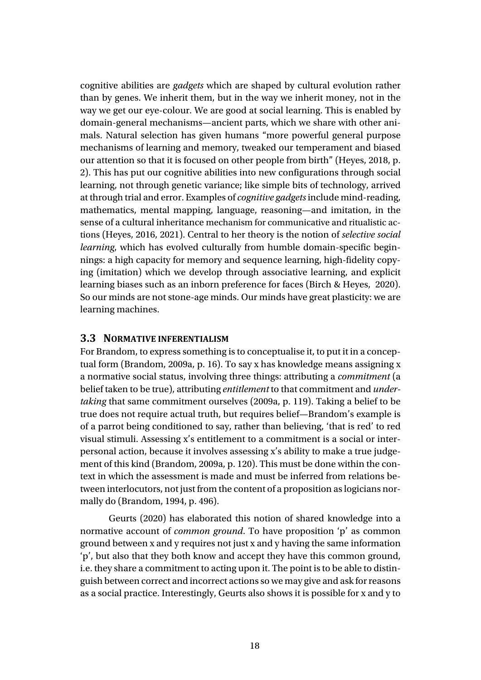cognitive abilities are *gadgets* which are shaped by cultural evolution rather than by genes. We inherit them, but in the way we inherit money, not in the way we get our eye-colour. We are good at social learning. This is enabled by domain-general mechanisms—ancient parts, which we share with other animals. Natural selection has given humans "more powerful general purpose mechanisms of learning and memory, tweaked our temperament and biased our attention so that it is focused on other people from birth" (Heyes, 2018, p. 2). This has put our cognitive abilities into new configurations through social learning, not through genetic variance; like simple bits of technology, arrived at through trial and error. Examples of *cognitive gadgets*include mind-reading, mathematics, mental mapping, language, reasoning—and imitation, in the sense of a cultural inheritance mechanism for communicative and ritualistic actions (Heyes, 2016, 2021). Central to her theory is the notion of *selective social learning*, which has evolved culturally from humble domain-specific beginnings: a high capacity for memory and sequence learning, high-fidelity copying (imitation) which we develop through associative learning, and explicit learning biases such as an inborn preference for faces (Birch & Heyes, 2020). So our minds are not stone-age minds. Our minds have great plasticity: we are learning machines.

#### **3.3 NORMATIVE INFERENTIALISM**

For Brandom, to express something is to conceptualise it, to put it in a conceptual form (Brandom, 2009a, p. 16). To say x has knowledge means assigning x a normative social status, involving three things: attributing a *commitment* (a belief taken to be true), attributing *entitlement* to that commitment and *undertaking* that same commitment ourselves (2009a, p. 119). Taking a belief to be true does not require actual truth, but requires belief—Brandom's example is of a parrot being conditioned to say, rather than believing, 'that is red' to red visual stimuli. Assessing x's entitlement to a commitment is a social or interpersonal action, because it involves assessing x's ability to make a true judgement of this kind (Brandom, 2009a, p. 120). This must be done within the context in which the assessment is made and must be inferred from relations between interlocutors, not just from the content of a proposition as logicians normally do (Brandom, 1994, p. 496).

Geurts (2020) has elaborated this notion of shared knowledge into a normative account of *common ground*. To have proposition 'p' as common ground between x and y requires not just x and y having the same information 'p', but also that they both know and accept they have this common ground, i.e. they share a commitment to acting upon it. The point is to be able to distinguish between correct and incorrect actions so we may give and ask for reasons as a social practice. Interestingly, Geurts also shows it is possible for x and y to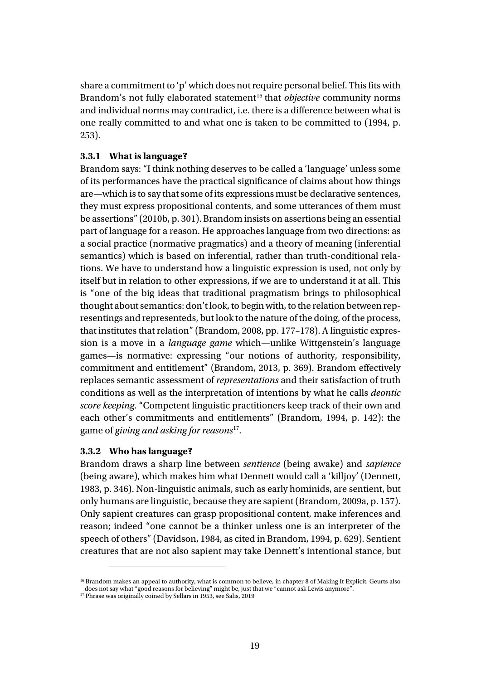share a commitment to 'p' which does not require personal belief. This fits with Brandom's not fully elaborated statement<sup>[16](#page-18-0)</sup> that *objective* community norms and individual norms may contradict, i.e. there is a difference between what is one really committed to and what one is taken to be committed to (1994, p. 253).

#### **3.3.1 What is language?**

Brandom says: "I think nothing deserves to be called a 'language' unless some of its performances have the practical significance of claims about how things are—which is to say that some of its expressions must be declarative sentences, they must express propositional contents, and some utterances of them must be assertions" (2010b, p. 301). Brandom insists on assertions being an essential part of language for a reason. He approaches language from two directions: as a social practice (normative pragmatics) and a theory of meaning (inferential semantics) which is based on inferential, rather than truth-conditional relations. We have to understand how a linguistic expression is used, not only by itself but in relation to other expressions, if we are to understand it at all. This is "one of the big ideas that traditional pragmatism brings to philosophical thought about semantics: don't look, to begin with, to the relation between representings and representeds, but look to the nature of the doing, of the process, that institutes that relation" (Brandom, 2008, pp. 177–178). A linguistic expression is a move in a *language game* which—unlike Wittgenstein's language games—is normative: expressing "our notions of authority, responsibility, commitment and entitlement" (Brandom, 2013, p. 369). Brandom effectively replaces semantic assessment of *representations* and their satisfaction of truth conditions as well as the interpretation of intentions by what he calls *deontic score keeping*. "Competent linguistic practitioners keep track of their own and each other's commitments and entitlements" (Brandom, 1994, p. 142): the game of *giving and asking for reasons*[17.](#page-18-1)

#### **3.3.2 Who has language?**

Brandom draws a sharp line between *sentience* (being awake) and *sapience* (being aware), which makes him what Dennett would call a 'killjoy' (Dennett, 1983, p. 346). Non-linguistic animals, such as early hominids, are sentient, but only humans are linguistic, because they are sapient (Brandom, 2009a, p. 157). Only sapient creatures can grasp propositional content, make inferences and reason; indeed "one cannot be a thinker unless one is an interpreter of the speech of others" (Davidson, 1984, as cited in Brandom, 1994, p. 629). Sentient creatures that are not also sapient may take Dennett's intentional stance, but

<span id="page-18-0"></span><sup>&</sup>lt;sup>16</sup> Brandom makes an appeal to authority, what is common to believe, in chapter 8 of Making It Explicit. Geurts also does not say what "good reasons for believing" might be, just that we "cannot ask Lewis anymore".

<span id="page-18-1"></span><sup>&</sup>lt;sup>17</sup> Phrase was originally coined by Sellars in 1953, see Salis, 2019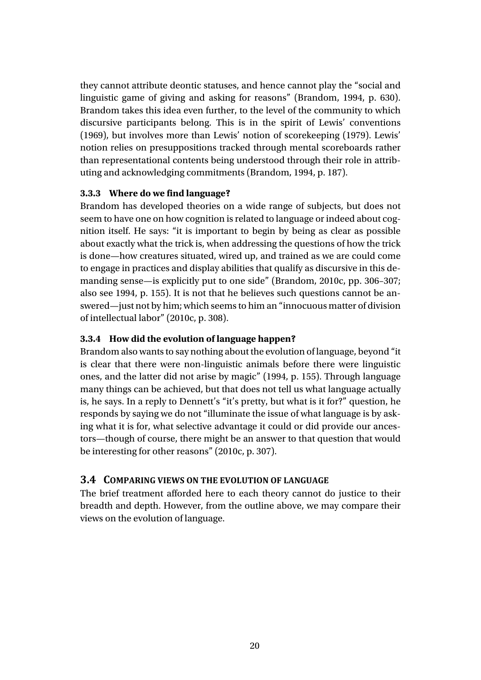they cannot attribute deontic statuses, and hence cannot play the "social and linguistic game of giving and asking for reasons" (Brandom, 1994, p. 630). Brandom takes this idea even further, to the level of the community to which discursive participants belong. This is in the spirit of Lewis' conventions (1969), but involves more than Lewis' notion of scorekeeping (1979). Lewis' notion relies on presuppositions tracked through mental scoreboards rather than representational contents being understood through their role in attributing and acknowledging commitments (Brandom, 1994, p. 187).

#### **3.3.3 Where do we find language?**

Brandom has developed theories on a wide range of subjects, but does not seem to have one on how cognition is related to language or indeed about cognition itself. He says: "it is important to begin by being as clear as possible about exactly what the trick is, when addressing the questions of how the trick is done—how creatures situated, wired up, and trained as we are could come to engage in practices and display abilities that qualify as discursive in this demanding sense—is explicitly put to one side" (Brandom, 2010c, pp. 306–307; also see 1994, p. 155). It is not that he believes such questions cannot be answered—just not by him; which seems to him an "innocuous matter of division of intellectual labor" (2010c, p. 308).

#### **3.3.4 How did the evolution of language happen?**

Brandom also wants to say nothing about the evolution of language, beyond "it is clear that there were non-linguistic animals before there were linguistic ones, and the latter did not arise by magic" (1994, p. 155). Through language many things can be achieved, but that does not tell us what language actually is, he says. In a reply to Dennett's "it's pretty, but what is it for?" question, he responds by saying we do not "illuminate the issue of what language is by asking what it is for, what selective advantage it could or did provide our ancestors—though of course, there might be an answer to that question that would be interesting for other reasons" (2010c, p. 307).

#### **3.4 COMPARING VIEWS ON THE EVOLUTION OF LANGUAGE**

The brief treatment afforded here to each theory cannot do justice to their breadth and depth. However, from the outline above, we may compare their views on the evolution of language.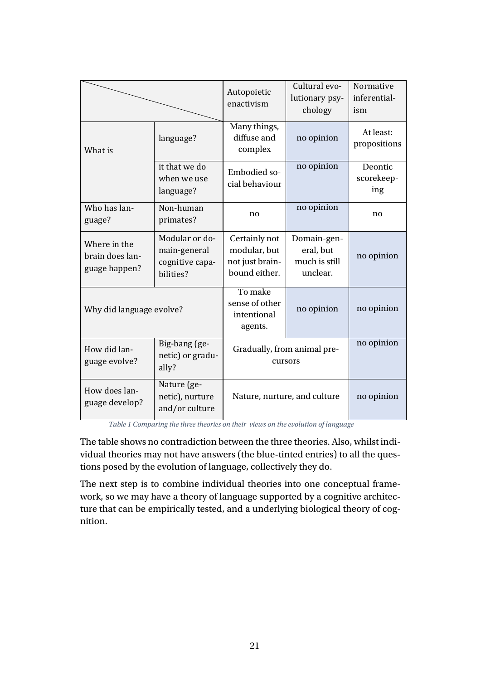|                                                  |                                                                | Autopoietic<br>enactivism                                         | Cultural evo-<br>lutionary psy-<br>chology            | Normative<br>inferential-<br>ism |
|--------------------------------------------------|----------------------------------------------------------------|-------------------------------------------------------------------|-------------------------------------------------------|----------------------------------|
| What is                                          | language?                                                      | Many things,<br>diffuse and<br>complex                            | no opinion                                            | At least:<br>propositions        |
|                                                  | it that we do<br>when we use<br>language?                      | <b>Embodied so-</b><br>cial behaviour                             | no opinion                                            | Deontic<br>scorekeep-<br>ing     |
| Who has lan-<br>guage?                           | Non-human<br>primates?                                         | no                                                                | no opinion                                            | no.                              |
| Where in the<br>brain does lan-<br>guage happen? | Modular or do-<br>main-general<br>cognitive capa-<br>bilities? | Certainly not<br>modular, but<br>not just brain-<br>bound either. | Domain-gen-<br>eral, but<br>much is still<br>unclear. | no opinion                       |
| Why did language evolve?                         |                                                                | To make<br>sense of other<br>intentional<br>agents.               | no opinion                                            | no opinion                       |
| How did lan-<br>guage evolve?                    | Big-bang (ge-<br>netic) or gradu-<br>ally?                     | Gradually, from animal pre-<br>cursors                            |                                                       | no opinion                       |
| How does lan-<br>guage develop?                  | Nature (ge-<br>netic), nurture<br>and/or culture               | Nature, nurture, and culture                                      |                                                       | no opinion                       |

*Table 1 Comparing the three theories on their views on the evolution of language*

The table shows no contradiction between the three theories. Also, whilst individual theories may not have answers (the blue-tinted entries) to all the questions posed by the evolution of language, collectively they do.

The next step is to combine individual theories into one conceptual framework, so we may have a theory of language supported by a cognitive architecture that can be empirically tested, and a underlying biological theory of cognition.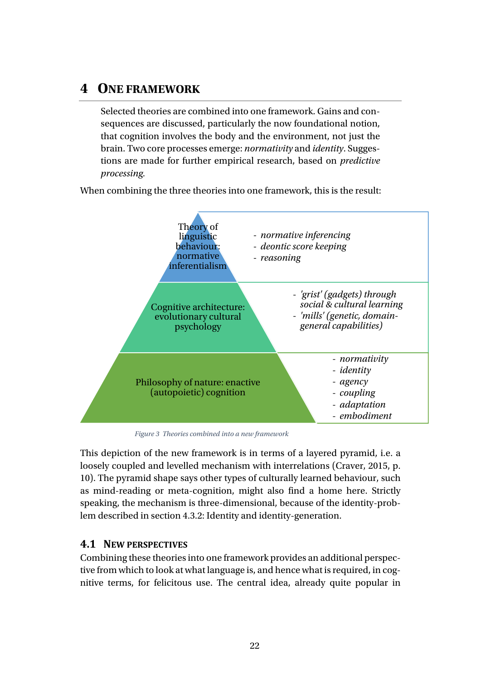## **4 ONE FRAMEWORK**

Selected theories are combined into one framework. Gains and consequences are discussed, particularly the now foundational notion, that cognition involves the body and the environment, not just the brain. Two core processes emerge: *normativity* and *identity*. Suggestions are made for further empirical research, based on *predictive processing.*

When combining the three theories into one framework, this is the result:



*Figure 3 Theories combined into a new framework*

<span id="page-21-0"></span>This depiction of the new framework is in terms of a layered pyramid, i.e. a loosely coupled and levelled mechanism with interrelations (Craver, 2015, p. 10). The pyramid shape says other types of culturally learned behaviour, such as mind-reading or meta-cognition, might also find a home here. Strictly speaking, the mechanism is three-dimensional, because of the identity-problem described in section [4.3.2:](#page-27-0) Identity [and identity-generation.](#page-27-0)

#### **4.1 NEW PERSPECTIVES**

Combining these theories into one framework provides an additional perspective from which to look at what language is, and hence what is required, in cognitive terms, for felicitous use. The central idea, already quite popular in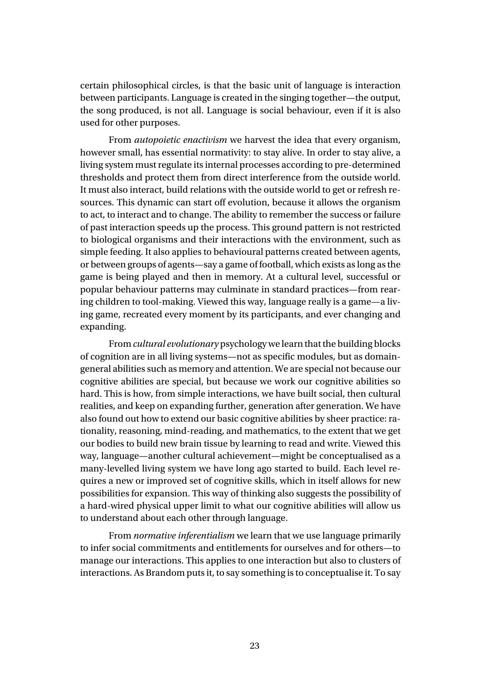certain philosophical circles, is that the basic unit of language is interaction between participants. Language is created in the singing together—the output, the song produced, is not all. Language is social behaviour, even if it is also used for other purposes.

From *autopoietic enactivism* we harvest the idea that every organism, however small, has essential normativity: to stay alive. In order to stay alive, a living system must regulate its internal processes according to pre-determined thresholds and protect them from direct interference from the outside world. It must also interact, build relations with the outside world to get or refresh resources. This dynamic can start off evolution, because it allows the organism to act, to interact and to change. The ability to remember the success or failure of past interaction speeds up the process. This ground pattern is not restricted to biological organisms and their interactions with the environment, such as simple feeding. It also applies to behavioural patterns created between agents, or between groups of agents—say a game of football, which exists as long as the game is being played and then in memory. At a cultural level, successful or popular behaviour patterns may culminate in standard practices—from rearing children to tool-making. Viewed this way, language really is a game—a living game, recreated every moment by its participants, and ever changing and expanding.

From *cultural evolutionary* psychology we learn that the building blocks of cognition are in all living systems—not as specific modules, but as domaingeneral abilities such as memory and attention. We are special not because our cognitive abilities are special, but because we work our cognitive abilities so hard. This is how, from simple interactions, we have built social, then cultural realities, and keep on expanding further, generation after generation. We have also found out how to extend our basic cognitive abilities by sheer practice: rationality, reasoning, mind-reading, and mathematics, to the extent that we get our bodies to build new brain tissue by learning to read and write. Viewed this way, language—another cultural achievement—might be conceptualised as a many-levelled living system we have long ago started to build. Each level requires a new or improved set of cognitive skills, which in itself allows for new possibilities for expansion. This way of thinking also suggests the possibility of a hard-wired physical upper limit to what our cognitive abilities will allow us to understand about each other through language.

From *normative inferentialism* we learn that we use language primarily to infer social commitments and entitlements for ourselves and for others—to manage our interactions. This applies to one interaction but also to clusters of interactions. As Brandom puts it, to say something is to conceptualise it. To say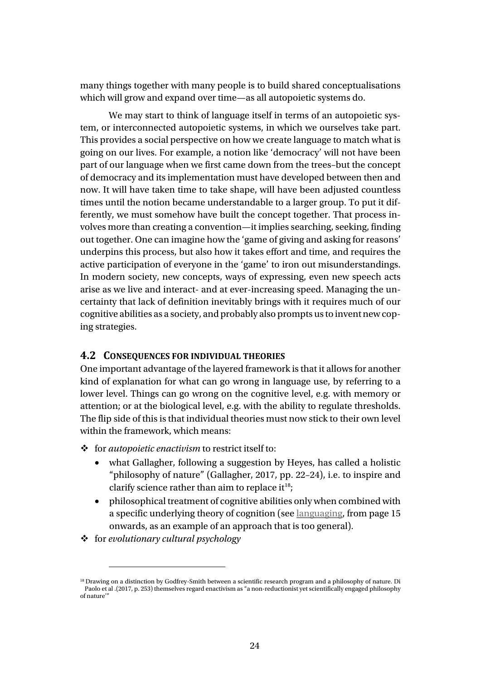many things together with many people is to build shared conceptualisations which will grow and expand over time—as all autopoietic systems do.

We may start to think of language itself in terms of an autopoietic system, or interconnected autopoietic systems, in which we ourselves take part. This provides a social perspective on how we create language to match what is going on our lives. For example, a notion like 'democracy' will not have been part of our language when we first came down from the trees–but the concept of democracy and its implementation must have developed between then and now. It will have taken time to take shape, will have been adjusted countless times until the notion became understandable to a larger group. To put it differently, we must somehow have built the concept together. That process involves more than creating a convention—it implies searching, seeking, finding out together. One can imagine how the 'game of giving and asking for reasons' underpins this process, but also how it takes effort and time, and requires the active participation of everyone in the 'game' to iron out misunderstandings. In modern society, new concepts, ways of expressing, even new speech acts arise as we live and interact- and at ever-increasing speed. Managing the uncertainty that lack of definition inevitably brings with it requires much of our cognitive abilities as a society, and probably also prompts us to invent new coping strategies.

#### **4.2 CONSEQUENCES FOR INDIVIDUAL THEORIES**

One important advantage of the layered framework is that it allows for another kind of explanation for what can go wrong in language use, by referring to a lower level. Things can go wrong on the cognitive level, e.g. with memory or attention; or at the biological level, e.g. with the ability to regulate thresholds. The flip side of this is that individual theories must now stick to their own level within the framework, which means:

- $\triangleq$  for *autopoietic enactivism* to restrict itself to:
	- what Gallagher, following a suggestion by Heyes, has called a holistic "philosophy of nature" (Gallagher, 2017, pp. 22–24), i.e. to inspire and clarify science rather than aim to replace it<sup>18</sup>;
	- philosophical treatment of cognitive abilities only when combined with a specific underlying theory of cognition (see [languaging,](#page-14-2) from page [15](#page-14-2) onwards, as an example of an approach that is too general).
- for *evolutionary cultural psychology*

<span id="page-23-0"></span><sup>&</sup>lt;sup>18</sup> Drawing on a distinction by Godfrey-Smith between a scientific research program and a philosophy of nature. Di Paolo et al .(2017, p. 253) themselves regard enactivism as "a non-reductionist yet scientifically engaged philosophy of nature'"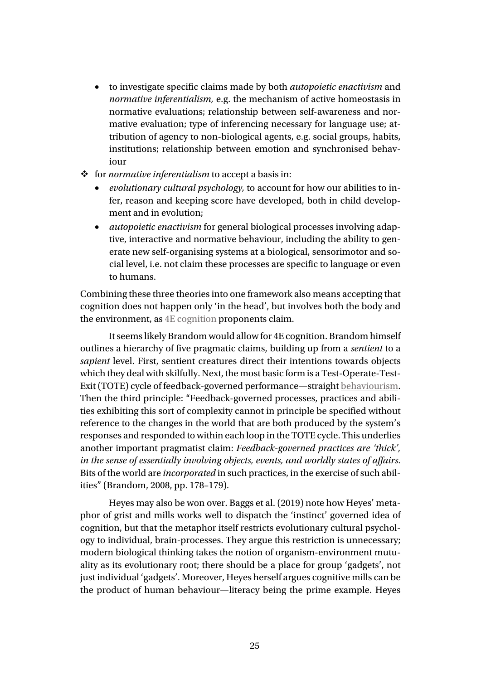- to investigate specific claims made by both *autopoietic enactivism* and *normative inferentialism,* e.g. the mechanism of active homeostasis in normative evaluations; relationship between self-awareness and normative evaluation; type of inferencing necessary for language use; attribution of agency to non-biological agents, e.g. social groups, habits, institutions; relationship between emotion and synchronised behaviour
- $\div$  for *normative inferentialism* to accept a basis in:
	- *evolutionary cultural psychology,* to account for how our abilities to infer, reason and keeping score have developed, both in child development and in evolution;
	- *autopoietic enactivism* for general biological processes involving adaptive, interactive and normative behaviour, including the ability to generate new self-organising systems at a biological, sensorimotor and social level, i.e. not claim these processes are specific to language or even to humans.

Combining these three theories into one framework also means accepting that cognition does not happen only 'in the head', but involves both the body and the environment, as  $4E$  cognition proponents claim.

It seems likely Brandom would allow for 4E cognition. Brandom himself outlines a hierarchy of five pragmatic claims, building up from a *sentient* to a *sapient* level. First, sentient creatures direct their intentions towards objects which they deal with skilfully. Next, the most basic form is a Test-Operate-Test-Exit (TOTE) cycle of feedback-governed performance—straight [behaviourism.](#page-40-3) Then the third principle: "Feedback-governed processes, practices and abilities exhibiting this sort of complexity cannot in principle be specified without reference to the changes in the world that are both produced by the system's responses and responded to within each loop in the TOTE cycle. This underlies another important pragmatist claim: *Feedback-governed practices are 'thick', in the sense of essentially involving objects, events, and worldly states of affairs*. Bits of the world are *incorporated* in such practices, in the exercise of such abilities" (Brandom, 2008, pp. 178–179).

Heyes may also be won over. Baggs et al. (2019) note how Heyes' metaphor of grist and mills works well to dispatch the 'instinct' governed idea of cognition, but that the metaphor itself restricts evolutionary cultural psychology to individual, brain-processes. They argue this restriction is unnecessary; modern biological thinking takes the notion of organism-environment mutuality as its evolutionary root; there should be a place for group 'gadgets', not just individual 'gadgets'. Moreover, Heyes herself argues cognitive mills can be the product of human behaviour—literacy being the prime example. Heyes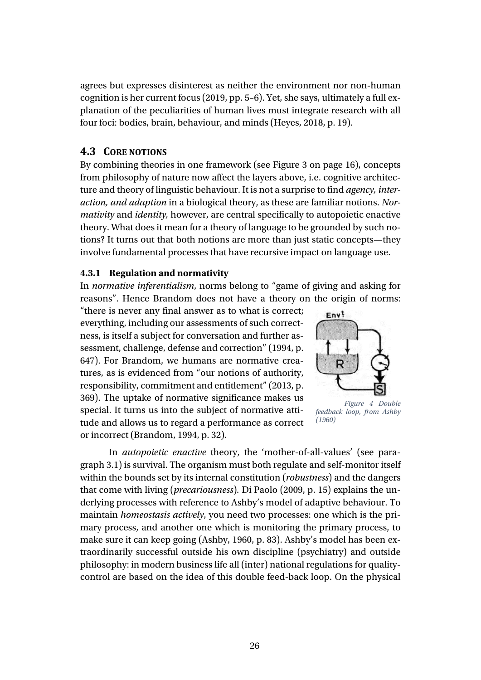agrees but expresses disinterest as neither the environment nor non-human cognition is her current focus (2019, pp. 5–6). Yet, she says, ultimately a full explanation of the peculiarities of human lives must integrate research with all four foci: bodies, brain, behaviour, and minds (Heyes, 2018, p. 19).

#### **4.3 CORE NOTIONS**

By combining theories in one framework (see [Figure 3](#page-21-0) on page [16\)](#page-21-0), concepts from philosophy of nature now affect the layers above, i.e. cognitive architecture and theory of linguistic behaviour. It is not a surprise to find *agency, interaction, and adaption* in a biological theory, as these are familiar notions. *Normativity* and *identity,* however, are central specifically to autopoietic enactive theory. What does it mean for a theory of language to be grounded by such notions? It turns out that both notions are more than just static concepts—they involve fundamental processes that have recursive impact on language use.

#### <span id="page-25-0"></span>**4.3.1 Regulation and normativity**

In *normative inferentialism*, norms belong to "game of giving and asking for reasons". Hence Brandom does not have a theory on the origin of norms:

"there is never any final answer as to what is correct; everything, including our assessments of such correctness, is itself a subject for conversation and further assessment, challenge, defense and correction" (1994, p. 647). For Brandom, we humans are normative creatures, as is evidenced from "our notions of authority, responsibility, commitment and entitlement" (2013, p. 369). The uptake of normative significance makes us special. It turns us into the subject of normative attitude and allows us to regard a performance as correct or incorrect (Brandom, 1994, p. 32).



*Figure 4 Double feedback loop, from Ashby (1960)*

In *autopoietic enactive* theory, the 'mother-of-all-values' (see paragraph [3.1\)](#page-12-0) is survival. The organism must both regulate and self-monitor itself within the bounds set by its internal constitution (*robustness*) and the dangers that come with living (*precariousness*)*.* Di Paolo (2009, p. 15) explains the underlying processes with reference to Ashby's model of adaptive behaviour. To maintain *homeostasis actively*, you need two processes: one which is the primary process, and another one which is monitoring the primary process, to make sure it can keep going (Ashby, 1960, p. 83). Ashby's model has been extraordinarily successful outside his own discipline (psychiatry) and outside philosophy: in modern business life all (inter) national regulations for qualitycontrol are based on the idea of this double feed-back loop. On the physical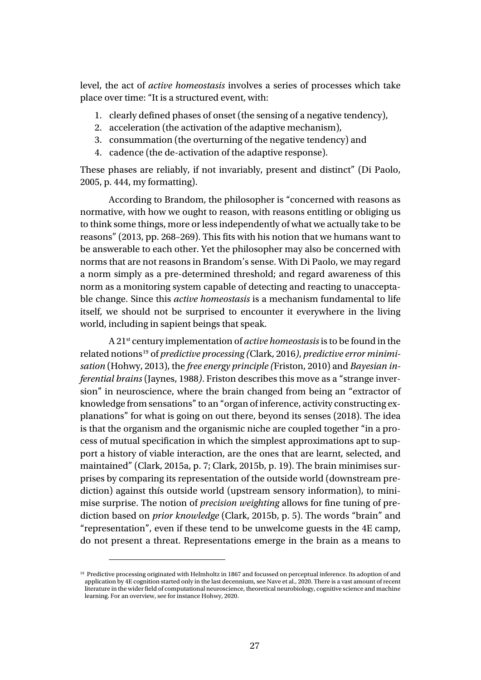level, the act of *active homeostasis* involves a series of processes which take place over time: "It is a structured event, with:

- 1. clearly defined phases of onset (the sensing of a negative tendency),
- 2. acceleration (the activation of the adaptive mechanism),
- 3. consummation (the overturning of the negative tendency) and
- 4. cadence (the de-activation of the adaptive response).

These phases are reliably, if not invariably, present and distinct" (Di Paolo, 2005, p. 444, my formatting).

According to Brandom, the philosopher is "concerned with reasons as normative, with how we ought to reason, with reasons entitling or obliging us to think some things, more or less independently of what we actually take to be reasons" (2013, pp. 268–269). This fits with his notion that we humans want to be answerable to each other. Yet the philosopher may also be concerned with norms that are not reasons in Brandom's sense. With Di Paolo, we may regard a norm simply as a pre-determined threshold; and regard awareness of this norm as a monitoring system capable of detecting and reacting to unacceptable change. Since this *active homeostasis* is a mechanism fundamental to life itself, we should not be surprised to encounter it everywhere in the living world, including in sapient beings that speak.

A 21st century implementation of *active homeostasis*is to be found in the related notions[19](#page-26-0) of *predictive processing (*Clark, 2016*)*, *predictive error minimisation* (Hohwy, 2013), the *free energy principle (*Friston, 2010) and *Bayesian inferential brains* (Jaynes, 1988*)*. Friston describes this move as a "strange inversion" in neuroscience, where the brain changed from being an "extractor of knowledge from sensations" to an "organ of inference, activity constructing explanations" for what is going on out there, beyond its senses (2018). The idea is that the organism and the organismic niche are coupled together "in a process of mutual specification in which the simplest approximations apt to support a history of viable interaction, are the ones that are learnt, selected, and maintained" (Clark, 2015a, p. 7; Clark, 2015b, p. 19). The brain minimises surprises by comparing its representation of the outside world (downstream prediction) against thís outside world (upstream sensory information), to minimise surprise. The notion of *precision weighting* allows for fine tuning of prediction based on *prior knowledge* (Clark, 2015b, p. 5). The words "brain" and "representation", even if these tend to be unwelcome guests in the 4E camp, do not present a threat. Representations emerge in the brain as a means to

<span id="page-26-0"></span><sup>&</sup>lt;sup>19</sup> Predictive processing originated with Helmholtz in 1867 and focussed on perceptual inference. Its adoption of and application by 4E cognition started only in the last decennium, see Nave et al., 2020. There is a vast amount of recent literature in the wider field of computational neuroscience, theoretical neurobiology, cognitive science and machine learning. For an overview, see for instance Hohwy, 2020.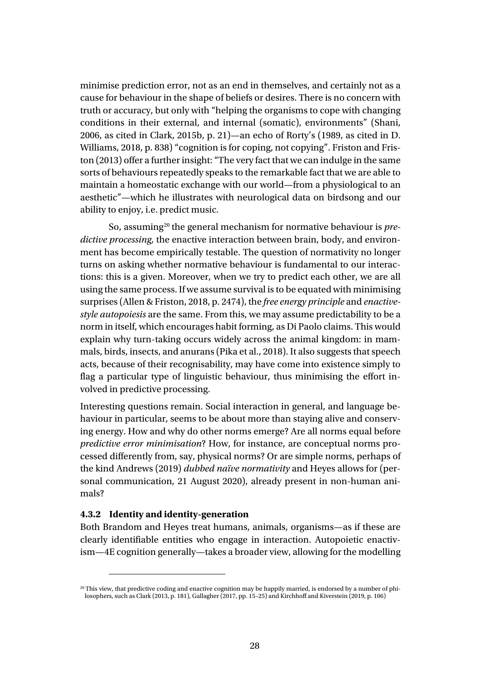minimise prediction error, not as an end in themselves, and certainly not as a cause for behaviour in the shape of beliefs or desires. There is no concern with truth or accuracy, but only with "helping the organisms to cope with changing conditions in their external, and internal (somatic), environments" (Shani, 2006, as cited in Clark, 2015b, p. 21)—an echo of Rorty's (1989, as cited in D. Williams, 2018, p. 838) "cognition is for coping, not copying". Friston and Friston (2013) offer a further insight: "The very fact that we can indulge in the same sorts of behaviours repeatedly speaks to the remarkable fact that we are able to maintain a homeostatic exchange with our world—from a physiological to an aesthetic"—which he illustrates with neurological data on birdsong and our ability to enjoy, i.e. predict music.

So, assuming[20](#page-27-1) the general mechanism for normative behaviour is *predictive processing,* the enactive interaction between brain, body, and environment has become empirically testable. The question of normativity no longer turns on asking whether normative behaviour is fundamental to our interactions: this is a given. Moreover, when we try to predict each other, we are all using the same process. If we assume survival is to be equated with minimising surprises (Allen & Friston, 2018, p. 2474), the *free energy principle* and *enactivestyle autopoiesis* are the same. From this, we may assume predictability to be a norm in itself, which encourages habit forming, as Di Paolo claims. This would explain why turn-taking occurs widely across the animal kingdom: in mammals, birds, insects, and anurans (Pika et al., 2018). It also suggests that speech acts, because of their recognisability, may have come into existence simply to flag a particular type of linguistic behaviour, thus minimising the effort involved in predictive processing.

Interesting questions remain. Social interaction in general, and language behaviour in particular, seems to be about more than staying alive and conserving energy. How and why do other norms emerge? Are all norms equal before *predictive error minimisation*? How, for instance, are conceptual norms processed differently from, say, physical norms? Or are simple norms, perhaps of the kind Andrews (2019) *dubbed naïve normativity* and Heyes allows for (personal communication, 21 August 2020), already present in non-human animals?

#### <span id="page-27-0"></span>**4.3.2 Identity and identity-generation**

Both Brandom and Heyes treat humans, animals, organisms—as if these are clearly identifiable entities who engage in interaction. Autopoietic enactivism—4E cognition generally—takes a broader view, allowing for the modelling

<span id="page-27-1"></span><sup>&</sup>lt;sup>20</sup> This view, that predictive coding and enactive cognition may be happily married, is endorsed by a number of philosophers, such as Clark (2013, p. 181), Gallagher (2017, pp. 15–25) and Kirchhoff and Kiverstein (2019, p. 106)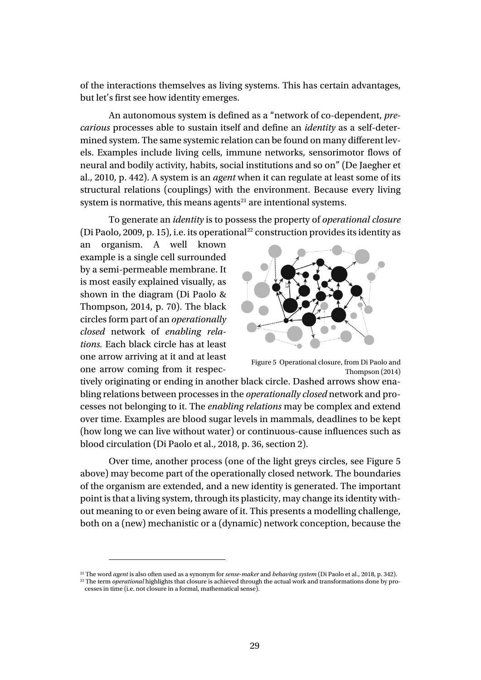of the interactions themselves as living systems. This has certain advantages, but let's first see how identity emerges.

An autonomous system is defined as a "network of co-dependent, *precarious* processes able to sustain itself and define an *identity* as a self-determined system. The same systemic relation can be found on many different levels. Examples include living cells, immune networks, sensorimotor flows of neural and bodily activity, habits, social institutions and so on" (De Jaegher et al., 2010, p. 442). A system is an *agent* when it can regulate at least some of its structural relations (couplings) with the environment. Because every living system is normative, this means agents $21$  are intentional systems.

To generate an *identity* is to possess the property of *operational closure* (Di Paolo, 2009, p. 15), i.e. its operational<sup>[22](#page-28-2)</sup> construction provides its identity as

an organism. A well known example is a single cell surrounded by a semi-permeable membrane. It is most easily explained visually, as shown in the diagram (Di Paolo & Thompson, 2014, p. 70). The black circles form part of an *operationally closed* network of *enabling relations.* Each black circle has at least one arrow arriving at it and at least one arrow coming from it respec-

<span id="page-28-0"></span>

Figure 5 Operational closure, from Di Paolo and Thompson (2014)

tively originating or ending in another black circle. Dashed arrows show enabling relations between processes in the *operationally closed* network and processes not belonging to it. The *enabling relations* may be complex and extend over time. Examples are blood sugar levels in mammals, deadlines to be kept (how long we can live without water) or continuous-cause influences such as blood circulation (Di Paolo et al., 2018, p. 36, section 2).

Over time, another process (one of the light greys circles, see [Figure 5](#page-28-0) above) may become part of the operationally closed network. The boundaries of the organism are extended, and a new identity is generated. The important point is that a living system, through its plasticity, may change its identity without meaning to or even being aware of it. This presents a modelling challenge, both on a (new) mechanistic or a (dynamic) network conception, because the

<span id="page-28-2"></span><span id="page-28-1"></span><sup>21</sup> The word *agent* is also often used as a synonym for *sense-maker* and *behaving system* (Di Paolo et al., 2018, p. 342).

<sup>&</sup>lt;sup>22</sup> The term *operational* highlights that closure is achieved through the actual work and transformations done by processes in time (i.e. not closure in a formal, mathematical sense).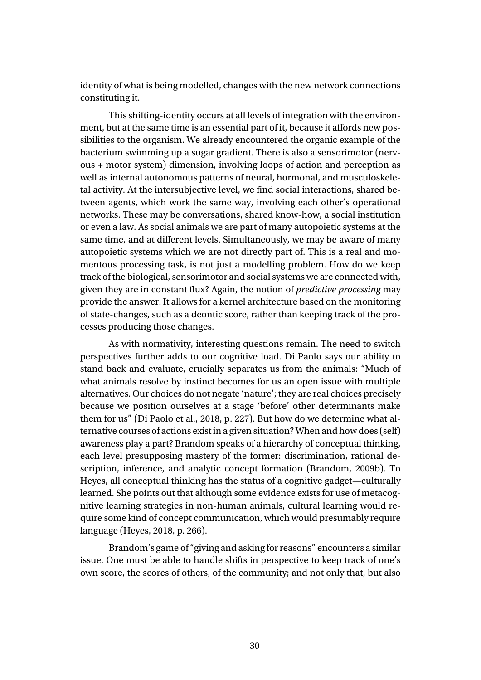identity of what is being modelled, changes with the new network connections constituting it.

This shifting-identity occurs at all levels of integration with the environment, but at the same time is an essential part of it, because it affords new possibilities to the organism. We already encountered the organic example of the bacterium swimming up a sugar gradient. There is also a sensorimotor (nervous + motor system) dimension, involving loops of action and perception as well as internal autonomous patterns of neural, hormonal, and musculoskeletal activity. At the intersubjective level, we find social interactions, shared between agents, which work the same way, involving each other's operational networks. These may be conversations, shared know-how, a social institution or even a law. As social animals we are part of many autopoietic systems at the same time, and at different levels. Simultaneously, we may be aware of many autopoietic systems which we are not directly part of. This is a real and momentous processing task, is not just a modelling problem. How do we keep track of the biological, sensorimotor and social systems we are connected with, given they are in constant flux? Again, the notion of *predictive processing* may provide the answer. It allows for a kernel architecture based on the monitoring of state-changes, such as a deontic score, rather than keeping track of the processes producing those changes.

As with normativity, interesting questions remain. The need to switch perspectives further adds to our cognitive load. Di Paolo says our ability to stand back and evaluate, crucially separates us from the animals: "Much of what animals resolve by instinct becomes for us an open issue with multiple alternatives. Our choices do not negate 'nature'; they are real choices precisely because we position ourselves at a stage 'before' other determinants make them for us" (Di Paolo et al., 2018, p. 227). But how do we determine what alternative courses of actions exist in a given situation? When and how does (self) awareness play a part? Brandom speaks of a hierarchy of conceptual thinking, each level presupposing mastery of the former: discrimination, rational description, inference, and analytic concept formation (Brandom, 2009b). To Heyes, all conceptual thinking has the status of a cognitive gadget—culturally learned. She points out that although some evidence exists for use of metacognitive learning strategies in non-human animals, cultural learning would require some kind of concept communication, which would presumably require language (Heyes, 2018, p. 266).

Brandom's game of "giving and asking for reasons" encounters a similar issue. One must be able to handle shifts in perspective to keep track of one's own score, the scores of others, of the community; and not only that, but also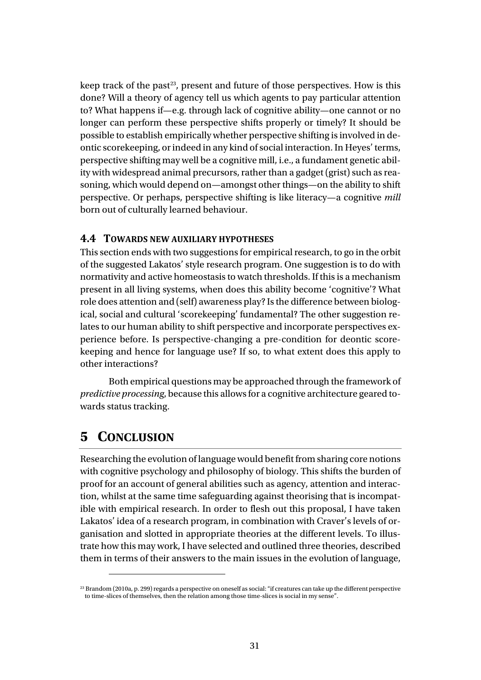keep track of the past<sup>[23](#page-30-1)</sup>, present and future of those perspectives. How is this done? Will a theory of agency tell us which agents to pay particular attention to? What happens if—e.g. through lack of cognitive ability—one cannot or no longer can perform these perspective shifts properly or timely? It should be possible to establish empirically whether perspective shifting is involved in deontic scorekeeping, or indeed in any kind of social interaction. In Heyes' terms, perspective shifting may well be a cognitive mill, i.e., a fundament genetic ability with widespread animal precursors, rather than a gadget (grist) such as reasoning, which would depend on—amongst other things—on the ability to shift perspective. Or perhaps, perspective shifting is like literacy—a cognitive *mill* born out of culturally learned behaviour.

#### **4.4 TOWARDS NEW AUXILIARY HYPOTHESES**

This section ends with two suggestions for empirical research, to go in the orbit of the suggested Lakatos' style research program. One suggestion is to do with normativity and active homeostasis to watch thresholds. If this is a mechanism present in all living systems, when does this ability become 'cognitive'? What role does attention and (self) awareness play? Is the difference between biological, social and cultural 'scorekeeping' fundamental? The other suggestion relates to our human ability to shift perspective and incorporate perspectives experience before. Is perspective-changing a pre-condition for deontic scorekeeping and hence for language use? If so, to what extent does this apply to other interactions?

Both empirical questions may be approached through the framework of *predictive processing*, because this allows for a cognitive architecture geared towards status tracking.

## <span id="page-30-0"></span>**5 CONCLUSION**

Researching the evolution of language would benefit from sharing core notions with cognitive psychology and philosophy of biology. This shifts the burden of proof for an account of general abilities such as agency, attention and interaction, whilst at the same time safeguarding against theorising that is incompatible with empirical research. In order to flesh out this proposal, I have taken Lakatos' idea of a research program, in combination with Craver's levels of organisation and slotted in appropriate theories at the different levels. To illustrate how this may work, I have selected and outlined three theories, described them in terms of their answers to the main issues in the evolution of language,

<span id="page-30-1"></span><sup>&</sup>lt;sup>23</sup> Brandom (2010a, p. 299) regards a perspective on oneself as social: "if creatures can take up the different perspective to time-slices of themselves, then the relation among those time-slices is social in my sense".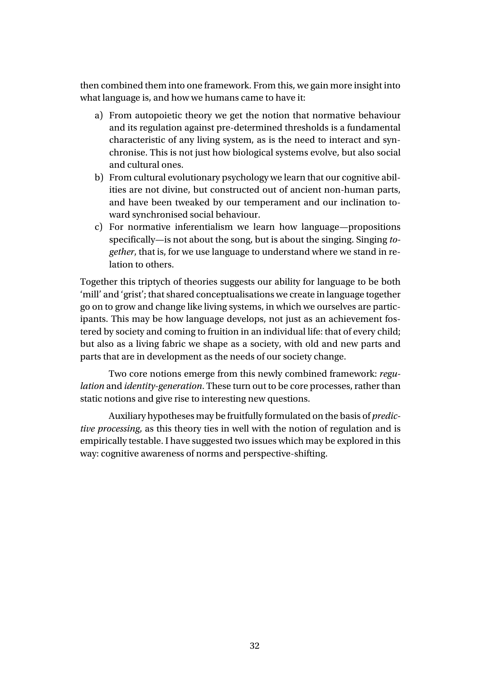then combined them into one framework. From this, we gain more insight into what language is, and how we humans came to have it:

- a) From autopoietic theory we get the notion that normative behaviour and its regulation against pre-determined thresholds is a fundamental characteristic of any living system, as is the need to interact and synchronise. This is not just how biological systems evolve, but also social and cultural ones.
- b) From cultural evolutionary psychology we learn that our cognitive abilities are not divine, but constructed out of ancient non-human parts, and have been tweaked by our temperament and our inclination toward synchronised social behaviour.
- c) For normative inferentialism we learn how language—propositions specifically—is not about the song, but is about the singing. Singing *together*, that is, for we use language to understand where we stand in relation to others.

Together this triptych of theories suggests our ability for language to be both 'mill' and 'grist'; that shared conceptualisations we create in language together go on to grow and change like living systems, in which we ourselves are participants. This may be how language develops, not just as an achievement fostered by society and coming to fruition in an individual life: that of every child; but also as a living fabric we shape as a society, with old and new parts and parts that are in development as the needs of our society change.

Two core notions emerge from this newly combined framework: *regulation* and *identity-generation*. These turn out to be core processes, rather than static notions and give rise to interesting new questions.

Auxiliary hypotheses may be fruitfully formulated on the basis of *predictive processing*, as this theory ties in well with the notion of regulation and is empirically testable. I have suggested two issues which may be explored in this way: cognitive awareness of norms and perspective-shifting.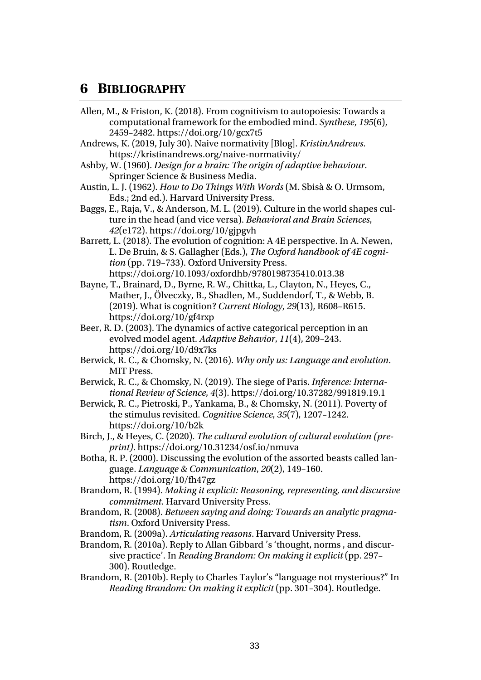### **6 BIBLIOGRAPHY**

- Allen, M., & Friston, K. (2018). From cognitivism to autopoiesis: Towards a computational framework for the embodied mind. *Synthese*, *195*(6), 2459–2482. https://doi.org/10/gcx7t5
- Andrews, K. (2019, July 30). Naive normativity [Blog]. *KristinAndrews*. https://kristinandrews.org/naive-normativity/
- Ashby, W. (1960). *Design for a brain: The origin of adaptive behaviour*. Springer Science & Business Media.
- Austin, L. J. (1962). *How to Do Things With Words* (M. Sbisà & O. Urmsom, Eds.; 2nd ed.). Harvard University Press.
- Baggs, E., Raja, V., & Anderson, M. L. (2019). Culture in the world shapes culture in the head (and vice versa). *Behavioral and Brain Sciences*, *42*(e172). https://doi.org/10/gjpgvh
- Barrett, L. (2018). The evolution of cognition: A 4E perspective. In A. Newen, L. De Bruin, & S. Gallagher (Eds.), *The Oxford handbook of 4E cognition* (pp. 719–733). Oxford University Press. https://doi.org/10.1093/oxfordhb/9780198735410.013.38
- Bayne, T., Brainard, D., Byrne, R. W., Chittka, L., Clayton, N., Heyes, C., Mather, J., Ölveczky, B., Shadlen, M., Suddendorf, T., & Webb, B. (2019). What is cognition? *Current Biology*, *29*(13), R608–R615. https://doi.org/10/gf4rxp
- Beer, R. D. (2003). The dynamics of active categorical perception in an evolved model agent. *Adaptive Behavior*, *11*(4), 209–243. https://doi.org/10/d9x7ks
- Berwick, R. C., & Chomsky, N. (2016). *Why only us: Language and evolution*. MIT Press.
- Berwick, R. C., & Chomsky, N. (2019). The siege of Paris. *Inference: International Review of Science*, *4*(3). https://doi.org/10.37282/991819.19.1
- Berwick, R. C., Pietroski, P., Yankama, B., & Chomsky, N. (2011). Poverty of the stimulus revisited. *Cognitive Science*, *35*(7), 1207–1242. https://doi.org/10/b2k
- Birch, J., & Heyes, C. (2020). *The cultural evolution of cultural evolution (preprint)*. https://doi.org/10.31234/osf.io/nmuva
- Botha, R. P. (2000). Discussing the evolution of the assorted beasts called language. *Language & Communication*, *20*(2), 149–160. https://doi.org/10/fh47gz
- Brandom, R. (1994). *Making it explicit: Reasoning, representing, and discursive commitment*. Harvard University Press.
- Brandom, R. (2008). *Between saying and doing: Towards an analytic pragmatism*. Oxford University Press.
- Brandom, R. (2009a). *Articulating reasons*. Harvard University Press.
- Brandom, R. (2010a). Reply to Allan Gibbard 's 'thought, norms , and discursive practice'. In *Reading Brandom: On making it explicit* (pp. 297– 300). Routledge.
- Brandom, R. (2010b). Reply to Charles Taylor's "language not mysterious?" In *Reading Brandom: On making it explicit* (pp. 301–304). Routledge.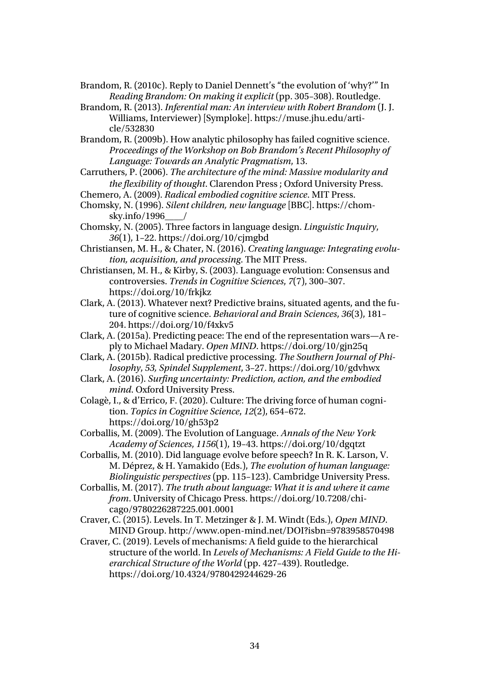Brandom, R. (2010c). Reply to Daniel Dennett's "the evolution of 'why?'" In *Reading Brandom: On making it explicit* (pp. 305–308). Routledge.

Brandom, R. (2013). *Inferential man: An interview with Robert Brandom* (J. J. Williams, Interviewer) [Symploke]. https://muse.jhu.edu/article/532830

Brandom, R. (2009b). How analytic philosophy has failed cognitive science. *Proceedings of the Workshop on Bob Brandom's Recent Philosophy of Language: Towards an Analytic Pragmatism*, 13.

Carruthers, P. (2006). *The architecture of the mind: Massive modularity and the flexibility of thought*. Clarendon Press ; Oxford University Press.

Chemero, A. (2009). *Radical embodied cognitive science*. MIT Press.

Chomsky, N. (1996). *Silent children, new language* [BBC]. https://chomsky.info/1996\_\_\_\_/

Chomsky, N. (2005). Three factors in language design. *Linguistic Inquiry*, *36*(1), 1–22. https://doi.org/10/cjmgbd

Christiansen, M. H., & Chater, N. (2016). *Creating language: Integrating evolution, acquisition, and processing*. The MIT Press.

- Christiansen, M. H., & Kirby, S. (2003). Language evolution: Consensus and controversies. *Trends in Cognitive Sciences*, *7*(7), 300–307. https://doi.org/10/frkjkz
- Clark, A. (2013). Whatever next? Predictive brains, situated agents, and the future of cognitive science. *Behavioral and Brain Sciences*, *36*(3), 181– 204. https://doi.org/10/f4xkv5
- Clark, A. (2015a). Predicting peace: The end of the representation wars—A reply to Michael Madary. *Open MIND*. https://doi.org/10/gjn25q

Clark, A. (2015b). Radical predictive processing. *The Southern Journal of Philosophy*, *53, Spindel Supplement*, 3–27. https://doi.org/10/gdvhwx

Clark, A. (2016). *Surfing uncertainty: Prediction, action, and the embodied mind*. Oxford University Press.

Colagè, I., & d'Errico, F. (2020). Culture: The driving force of human cognition. *Topics in Cognitive Science*, *12*(2), 654–672. https://doi.org/10/gh53p2

Corballis, M. (2009). The Evolution of Language. *Annals of the New York Academy of Sciences*, *1156*(1), 19–43. https://doi.org/10/dgqtzt

Corballis, M. (2010). Did language evolve before speech? In R. K. Larson, V. M. Déprez, & H. Yamakido (Eds.), *The evolution of human language: Biolinguistic perspectives* (pp. 115–123). Cambridge University Press.

Corballis, M. (2017). *The truth about language: What it is and where it came from*. University of Chicago Press. https://doi.org/10.7208/chicago/9780226287225.001.0001

Craver, C. (2015). Levels. In T. Metzinger & J. M. Windt (Eds.), *Open MIND*. MIND Group. http://www.open-mind.net/DOI?isbn=9783958570498

Craver, C. (2019). Levels of mechanisms: A field guide to the hierarchical structure of the world. In *Levels of Mechanisms: A Field Guide to the Hierarchical Structure of the World* (pp. 427–439). Routledge. https://doi.org/10.4324/9780429244629-26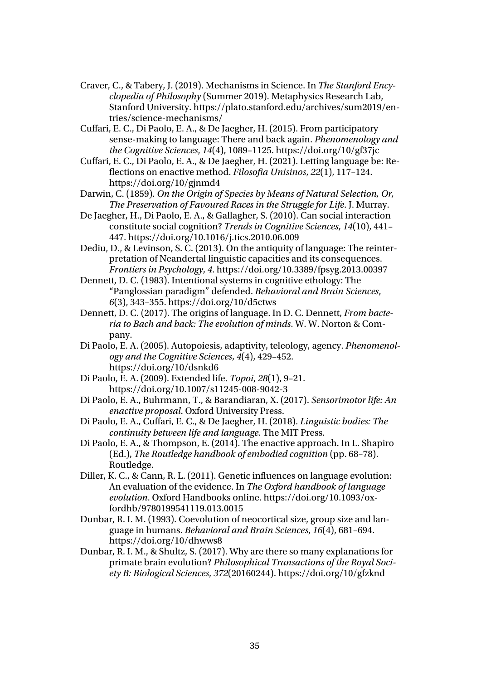- Craver, C., & Tabery, J. (2019). Mechanisms in Science. In *The Stanford Encyclopedia of Philosophy* (Summer 2019). Metaphysics Research Lab, Stanford University. https://plato.stanford.edu/archives/sum2019/entries/science-mechanisms/
- Cuffari, E. C., Di Paolo, E. A., & De Jaegher, H. (2015). From participatory sense-making to language: There and back again. *Phenomenology and the Cognitive Sciences*, *14*(4), 1089–1125. https://doi.org/10/gf37jc
- Cuffari, E. C., Di Paolo, E. A., & De Jaegher, H. (2021). Letting language be: Reflections on enactive method. *Filosofia Unisinos*, *22*(1), 117–124. https://doi.org/10/gjnmd4
- Darwin, C. (1859). *On the Origin of Species by Means of Natural Selection, Or, The Preservation of Favoured Races in the Struggle for Life*. J. Murray.
- De Jaegher, H., Di Paolo, E. A., & Gallagher, S. (2010). Can social interaction constitute social cognition? *Trends in Cognitive Sciences*, *14*(10), 441– 447. https://doi.org/10.1016/j.tics.2010.06.009
- Dediu, D., & Levinson, S. C. (2013). On the antiquity of language: The reinterpretation of Neandertal linguistic capacities and its consequences. *Frontiers in Psychology*, *4*. https://doi.org/10.3389/fpsyg.2013.00397
- Dennett, D. C. (1983). Intentional systems in cognitive ethology: The "Panglossian paradigm" defended. *Behavioral and Brain Sciences*, *6*(3), 343–355. https://doi.org/10/d5ctws
- Dennett, D. C. (2017). The origins of language. In D. C. Dennett, *From bacteria to Bach and back: The evolution of minds*. W. W. Norton & Company.
- Di Paolo, E. A. (2005). Autopoiesis, adaptivity, teleology, agency. *Phenomenology and the Cognitive Sciences*, *4*(4), 429–452. https://doi.org/10/dsnkd6
- Di Paolo, E. A. (2009). Extended life. *Topoi*, *28*(1), 9–21. https://doi.org/10.1007/s11245-008-9042-3
- Di Paolo, E. A., Buhrmann, T., & Barandiaran, X. (2017). *Sensorimotor life: An enactive proposal*. Oxford University Press.
- Di Paolo, E. A., Cuffari, E. C., & De Jaegher, H. (2018). *Linguistic bodies: The continuity between life and language*. The MIT Press.
- Di Paolo, E. A., & Thompson, E. (2014). The enactive approach. In L. Shapiro (Ed.), *The Routledge handbook of embodied cognition* (pp. 68–78). Routledge.
- Diller, K. C., & Cann, R. L. (2011). Genetic influences on language evolution: An evaluation of the evidence. In *The Oxford handbook of language evolution*. Oxford Handbooks online. https://doi.org/10.1093/oxfordhb/9780199541119.013.0015
- Dunbar, R. I. M. (1993). Coevolution of neocortical size, group size and language in humans. *Behavioral and Brain Sciences*, *16*(4), 681–694. https://doi.org/10/dhwws8
- Dunbar, R. I. M., & Shultz, S. (2017). Why are there so many explanations for primate brain evolution? *Philosophical Transactions of the Royal Society B: Biological Sciences*, *372*(20160244). https://doi.org/10/gfzknd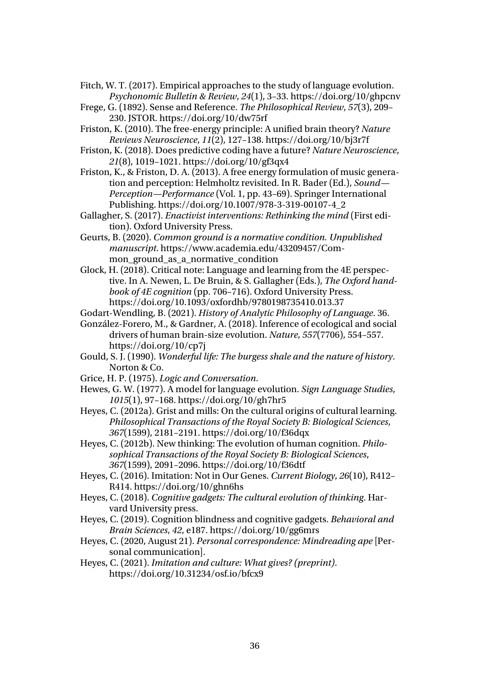- Fitch, W. T. (2017). Empirical approaches to the study of language evolution. *Psychonomic Bulletin & Review*, *24*(1), 3–33. https://doi.org/10/ghpcnv
- Frege, G. (1892). Sense and Reference. *The Philosophical Review*, *57*(3), 209– 230. JSTOR. https://doi.org/10/dw75rf
- Friston, K. (2010). The free-energy principle: A unified brain theory? *Nature Reviews Neuroscience*, *11*(2), 127–138. https://doi.org/10/bj3r7f
- Friston, K. (2018). Does predictive coding have a future? *Nature Neuroscience*, *21*(8), 1019–1021. https://doi.org/10/gf3qx4
- Friston, K., & Friston, D. A. (2013). A free energy formulation of music generation and perception: Helmholtz revisited. In R. Bader (Ed.), *Sound— Perception—Performance* (Vol. 1, pp. 43–69). Springer International Publishing. https://doi.org/10.1007/978-3-319-00107-4\_2
- Gallagher, S. (2017). *Enactivist interventions: Rethinking the mind* (First edition). Oxford University Press.
- Geurts, B. (2020). *Common ground is a normative condition. Unpublished manuscript*. https://www.academia.edu/43209457/Common\_ground\_as\_a\_normative\_condition
- Glock, H. (2018). Critical note: Language and learning from the 4E perspective. In A. Newen, L. De Bruin, & S. Gallagher (Eds.), *The Oxford handbook of 4E cognition* (pp. 706–716). Oxford University Press. https://doi.org/10.1093/oxfordhb/9780198735410.013.37
- Godart-Wendling, B. (2021). *History of Analytic Philosophy of Language*. 36.
- González-Forero, M., & Gardner, A. (2018). Inference of ecological and social drivers of human brain-size evolution. *Nature*, *557*(7706), 554–557. https://doi.org/10/cp7j
- Gould, S. J. (1990). *Wonderful life: The burgess shale and the nature of history*. Norton & Co.
- Grice, H. P. (1975). *Logic and Conversation*.
- Hewes, G. W. (1977). A model for language evolution. *Sign Language Studies*, *1015*(1), 97–168. https://doi.org/10/gh7hr5
- Heyes, C. (2012a). Grist and mills: On the cultural origins of cultural learning. *Philosophical Transactions of the Royal Society B: Biological Sciences*, *367*(1599), 2181–2191. https://doi.org/10/f36dqx
- Heyes, C. (2012b). New thinking: The evolution of human cognition. *Philosophical Transactions of the Royal Society B: Biological Sciences*, *367*(1599), 2091–2096. https://doi.org/10/f36dtf
- Heyes, C. (2016). Imitation: Not in Our Genes. *Current Biology*, *26*(10), R412– R414. https://doi.org/10/ghn6hs
- Heyes, C. (2018). *Cognitive gadgets: The cultural evolution of thinking*. Harvard University press.
- Heyes, C. (2019). Cognition blindness and cognitive gadgets. *Behavioral and Brain Sciences*, *42*, e187. https://doi.org/10/gg6mrs
- Heyes, C. (2020, August 21). *Personal correspondence: Mindreading ape* [Personal communication].
- Heyes, C. (2021). *Imitation and culture: What gives? (preprint)*. https://doi.org/10.31234/osf.io/bfcx9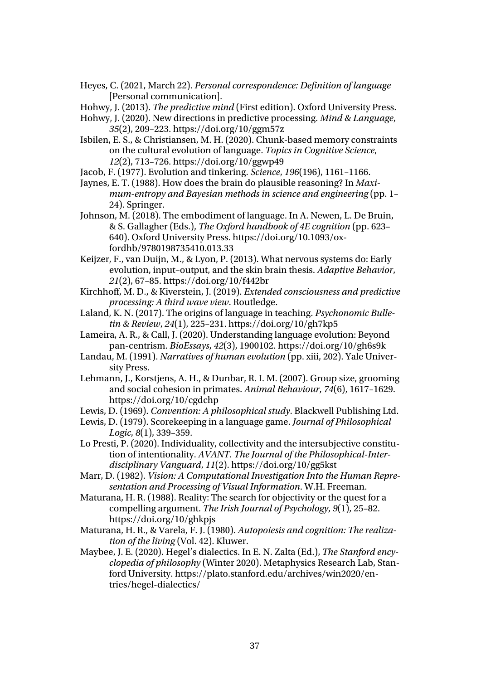Heyes, C. (2021, March 22). *Personal correspondence: Definition of language* [Personal communication].

Hohwy, J. (2013). *The predictive mind* (First edition). Oxford University Press.

- Hohwy, J. (2020). New directions in predictive processing. *Mind & Language*, *35*(2), 209–223. https://doi.org/10/ggm57z
- Isbilen, E. S., & Christiansen, M. H. (2020). Chunk‐based memory constraints on the cultural evolution of language. *Topics in Cognitive Science*, *12*(2), 713–726. https://doi.org/10/ggwp49
- Jacob, F. (1977). Evolution and tinkering. *Science*, *196*(196), 1161–1166.
- Jaynes, E. T. (1988). How does the brain do plausible reasoning? In *Maximum-entropy and Bayesian methods in science and engineering* (pp. 1– 24). Springer.
- Johnson, M. (2018). The embodiment of language. In A. Newen, L. De Bruin, & S. Gallagher (Eds.), *The Oxford handbook of 4E cognition* (pp. 623– 640). Oxford University Press. https://doi.org/10.1093/oxfordhb/9780198735410.013.33
- Keijzer, F., van Duijn, M., & Lyon, P. (2013). What nervous systems do: Early evolution, input–output, and the skin brain thesis. *Adaptive Behavior*, *21*(2), 67–85. https://doi.org/10/f442br
- Kirchhoff, M. D., & Kiverstein, J. (2019). *Extended consciousness and predictive processing: A third wave view*. Routledge.
- Laland, K. N. (2017). The origins of language in teaching. *Psychonomic Bulletin & Review*, *24*(1), 225–231. https://doi.org/10/gh7kp5
- Lameira, A. R., & Call, J. (2020). Understanding language evolution: Beyond pan‐centrism. *BioEssays*, *42*(3), 1900102. https://doi.org/10/gh6s9k
- Landau, M. (1991). *Narratives of human evolution* (pp. xiii, 202). Yale University Press.
- Lehmann, J., Korstjens, A. H., & Dunbar, R. I. M. (2007). Group size, grooming and social cohesion in primates. *Animal Behaviour*, *74*(6), 1617–1629. https://doi.org/10/cgdchp
- Lewis, D. (1969). *Convention: A philosophical study*. Blackwell Publishing Ltd.
- Lewis, D. (1979). Scorekeeping in a language game. *Journal of Philosophical Logic*, *8*(1), 339–359.
- Lo Presti, P. (2020). Individuality, collectivity and the intersubjective constitution of intentionality. *AVANT. The Journal of the Philosophical-Interdisciplinary Vanguard*, *11*(2). https://doi.org/10/gg5kst
- Marr, D. (1982). *Vision: A Computational Investigation Into the Human Representation and Processing of Visual Information*. W.H. Freeman.
- Maturana, H. R. (1988). Reality: The search for objectivity or the quest for a compelling argument. *The Irish Journal of Psychology*, *9*(1), 25–82. https://doi.org/10/ghkpjs
- Maturana, H. R., & Varela, F. J. (1980). *Autopoiesis and cognition: The realization of the living* (Vol. 42). Kluwer.
- Maybee, J. E. (2020). Hegel's dialectics. In E. N. Zalta (Ed.), *The Stanford encyclopedia of philosophy* (Winter 2020). Metaphysics Research Lab, Stanford University. https://plato.stanford.edu/archives/win2020/entries/hegel-dialectics/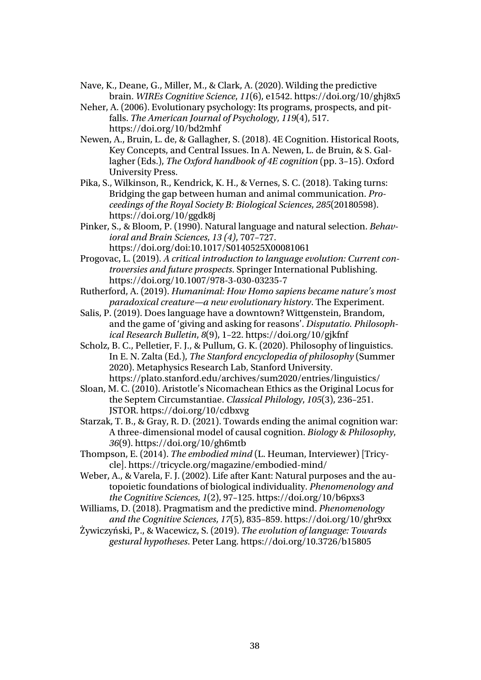- Nave, K., Deane, G., Miller, M., & Clark, A. (2020). Wilding the predictive brain. *WIREs Cognitive Science*, *11*(6), e1542. https://doi.org/10/ghj8x5
- Neher, A. (2006). Evolutionary psychology: Its programs, prospects, and pitfalls. *The American Journal of Psychology*, *119*(4), 517. https://doi.org/10/bd2mhf
- Newen, A., Bruin, L. de, & Gallagher, S. (2018). 4E Cognition. Historical Roots, Key Concepts, and Central Issues. In A. Newen, L. de Bruin, & S. Gallagher (Eds.), *The Oxford handbook of 4E cognition* (pp. 3–15). Oxford University Press.
- Pika, S., Wilkinson, R., Kendrick, K. H., & Vernes, S. C. (2018). Taking turns: Bridging the gap between human and animal communication. *Proceedings of the Royal Society B: Biological Sciences*, *285*(20180598). https://doi.org/10/ggdk8j
- Pinker, S., & Bloom, P. (1990). Natural language and natural selection. *Behavioral and Brain Sciences*, *13 (4)*, 707–727. https://doi.org/doi:10.1017/S0140525X00081061
- Progovac, L. (2019). *A critical introduction to language evolution: Current controversies and future prospects*. Springer International Publishing. https://doi.org/10.1007/978-3-030-03235-7
- Rutherford, A. (2019). *Humanimal: How Homo sapiens became nature's most paradoxical creature—a new evolutionary history*. The Experiment.
- Salis, P. (2019). Does language have a downtown? Wittgenstein, Brandom, and the game of 'giving and asking for reasons'. *Disputatio. Philosophical Research Bulletin*, *8*(9), 1–22. https://doi.org/10/gjkfnf
- Scholz, B. C., Pelletier, F. J., & Pullum, G. K. (2020). Philosophy of linguistics. In E. N. Zalta (Ed.), *The Stanford encyclopedia of philosophy* (Summer 2020). Metaphysics Research Lab, Stanford University. https://plato.stanford.edu/archives/sum2020/entries/linguistics/
- Sloan, M. C. (2010). Aristotle's Nicomachean Ethics as the Original Locus for the Septem Circumstantiae. *Classical Philology*, *105*(3), 236–251. JSTOR. https://doi.org/10/cdbxvg
- Starzak, T. B., & Gray, R. D. (2021). Towards ending the animal cognition war: A three-dimensional model of causal cognition. *Biology & Philosophy*, *36*(9). https://doi.org/10/gh6mtb
- Thompson, E. (2014). *The embodied mind* (L. Heuman, Interviewer) [Tricycle]. https://tricycle.org/magazine/embodied-mind/
- Weber, A., & Varela, F. J. (2002). Life after Kant: Natural purposes and the autopoietic foundations of biological individuality. *Phenomenology and the Cognitive Sciences*, *1*(2), 97–125. https://doi.org/10/b6pxs3
- Williams, D. (2018). Pragmatism and the predictive mind. *Phenomenology and the Cognitive Sciences*, *17*(5), 835–859. https://doi.org/10/ghr9xx
- Żywiczyński, P., & Wacewicz, S. (2019). *The evolution of language: Towards gestural hypotheses*. Peter Lang. https://doi.org/10.3726/b15805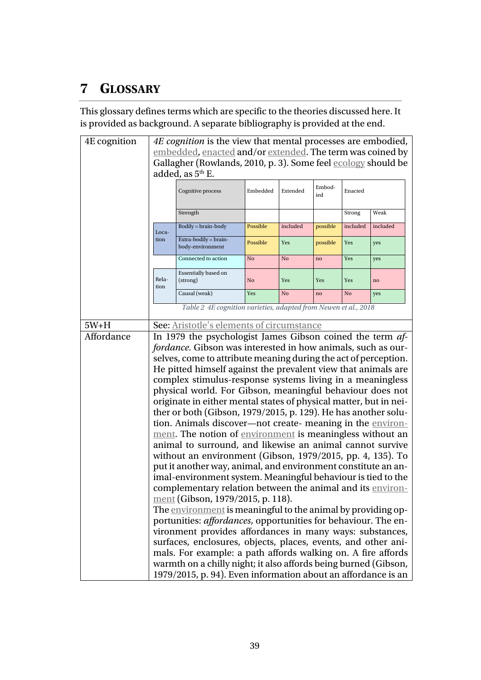## **7 GLOSSARY**

This glossary defines terms which are specific to the theories discussed here. It is provided as background. A separate bibliography is provided at the end.

<span id="page-38-2"></span><span id="page-38-1"></span><span id="page-38-0"></span>

| 4E cognition | 4E cognition is the view that mental processes are embodied,                                                                                                                                                                                               |                                                                        |          |          |          |          |          |
|--------------|------------------------------------------------------------------------------------------------------------------------------------------------------------------------------------------------------------------------------------------------------------|------------------------------------------------------------------------|----------|----------|----------|----------|----------|
|              | embedded, enacted and/or extended. The term was coined by                                                                                                                                                                                                  |                                                                        |          |          |          |          |          |
|              | Gallagher (Rowlands, 2010, p. 3). Some feel ecology should be                                                                                                                                                                                              |                                                                        |          |          |          |          |          |
|              |                                                                                                                                                                                                                                                            | added, as 5 <sup>th</sup> E.                                           |          |          |          |          |          |
|              | Embod-<br>Cognitive process<br>Embedded<br>Extended<br>Enacted<br>ied                                                                                                                                                                                      |                                                                        |          |          |          |          |          |
|              |                                                                                                                                                                                                                                                            | Strength                                                               |          |          |          | Strong   | Weak     |
|              | Loca-                                                                                                                                                                                                                                                      | Bodily = brain-body                                                    | Possible | included | possible | included | included |
|              | tion                                                                                                                                                                                                                                                       | Extra-bodily = brain-<br>body-environment                              | Possible | Yes      | possible | Yes      | yes      |
|              |                                                                                                                                                                                                                                                            | Connected to action                                                    | No       | No       | no       | Yes      | yes      |
|              | Rela-<br>tion                                                                                                                                                                                                                                              | Essentially based on<br>(strong)                                       | No       | Yes      | Yes      | Yes      | no       |
|              |                                                                                                                                                                                                                                                            | Causal (weak)                                                          | Yes      | No       | no       | No       | yes      |
|              |                                                                                                                                                                                                                                                            | Table 2 4E cognition varieties, adapted from Newen et al., 2018        |          |          |          |          |          |
| $5W+H$       |                                                                                                                                                                                                                                                            | See: Aristotle's elements of circumstance                              |          |          |          |          |          |
| Affordance   |                                                                                                                                                                                                                                                            | In 1979 the psychologist James Gibson coined the term af-              |          |          |          |          |          |
|              |                                                                                                                                                                                                                                                            | fordance. Gibson was interested in how animals, such as our-           |          |          |          |          |          |
|              |                                                                                                                                                                                                                                                            |                                                                        |          |          |          |          |          |
|              | selves, come to attribute meaning during the act of perception.<br>He pitted himself against the prevalent view that animals are<br>complex stimulus-response systems living in a meaningless<br>physical world. For Gibson, meaningful behaviour does not |                                                                        |          |          |          |          |          |
|              |                                                                                                                                                                                                                                                            |                                                                        |          |          |          |          |          |
|              |                                                                                                                                                                                                                                                            |                                                                        |          |          |          |          |          |
|              |                                                                                                                                                                                                                                                            | originate in either mental states of physical matter, but in nei-      |          |          |          |          |          |
|              |                                                                                                                                                                                                                                                            | ther or both (Gibson, 1979/2015, p. 129). He has another solu-         |          |          |          |          |          |
|              |                                                                                                                                                                                                                                                            | tion. Animals discover-not create- meaning in the environ-             |          |          |          |          |          |
|              |                                                                                                                                                                                                                                                            | ment. The notion of environment is meaningless without an              |          |          |          |          |          |
|              |                                                                                                                                                                                                                                                            | animal to surround, and likewise an animal cannot survive              |          |          |          |          |          |
|              |                                                                                                                                                                                                                                                            | without an environment (Gibson, 1979/2015, pp. 4, 135). To             |          |          |          |          |          |
|              | put it another way, animal, and environment constitute an an-                                                                                                                                                                                              |                                                                        |          |          |          |          |          |
|              |                                                                                                                                                                                                                                                            | imal-environment system. Meaningful behaviour is tied to the           |          |          |          |          |          |
|              |                                                                                                                                                                                                                                                            | complementary relation between the animal and its environ-             |          |          |          |          |          |
|              |                                                                                                                                                                                                                                                            | ment (Gibson, 1979/2015, p. 118).                                      |          |          |          |          |          |
|              |                                                                                                                                                                                                                                                            | The environment is meaningful to the animal by providing op-           |          |          |          |          |          |
|              |                                                                                                                                                                                                                                                            | portunities: <i>affordances</i> , opportunities for behaviour. The en- |          |          |          |          |          |
|              |                                                                                                                                                                                                                                                            | vironment provides affordances in many ways: substances,               |          |          |          |          |          |
|              | surfaces, enclosures, objects, places, events, and other ani-                                                                                                                                                                                              |                                                                        |          |          |          |          |          |
|              | mals. For example: a path affords walking on. A fire affords<br>warmth on a chilly night; it also affords being burned (Gibson,<br>1979/2015, p. 94). Even information about an affordance is an                                                           |                                                                        |          |          |          |          |          |
|              |                                                                                                                                                                                                                                                            |                                                                        |          |          |          |          |          |
|              |                                                                                                                                                                                                                                                            |                                                                        |          |          |          |          |          |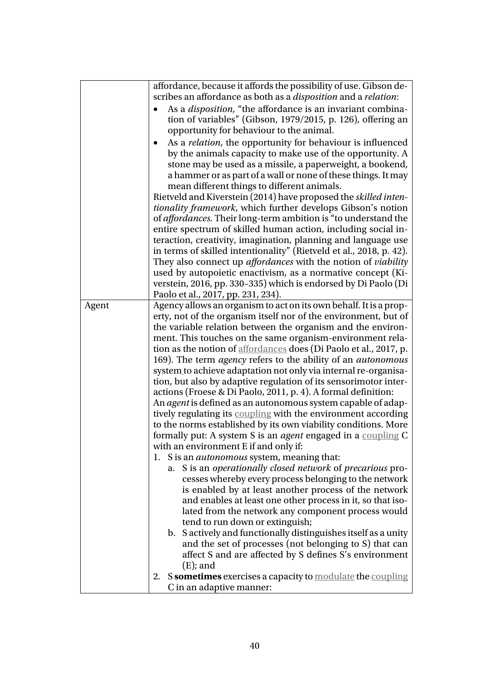<span id="page-39-0"></span>

|       | affordance, because it affords the possibility of use. Gibson de-                                                       |  |  |  |  |
|-------|-------------------------------------------------------------------------------------------------------------------------|--|--|--|--|
|       | scribes an affordance as both as a <i>disposition</i> and a <i>relation</i> :                                           |  |  |  |  |
|       | As a <i>disposition</i> , "the affordance is an invariant combina-                                                      |  |  |  |  |
|       | tion of variables" (Gibson, 1979/2015, p. 126), offering an                                                             |  |  |  |  |
|       | opportunity for behaviour to the animal.                                                                                |  |  |  |  |
|       | As a <i>relation</i> , the opportunity for behaviour is influenced                                                      |  |  |  |  |
|       | by the animals capacity to make use of the opportunity. A                                                               |  |  |  |  |
|       | stone may be used as a missile, a paperweight, a bookend,                                                               |  |  |  |  |
|       | a hammer or as part of a wall or none of these things. It may                                                           |  |  |  |  |
|       | mean different things to different animals.                                                                             |  |  |  |  |
|       | Rietveld and Kiverstein (2014) have proposed the skilled inten-                                                         |  |  |  |  |
|       | tionality framework, which further develops Gibson's notion                                                             |  |  |  |  |
|       | of <i>affordances</i> . Their long-term ambition is "to understand the                                                  |  |  |  |  |
|       | entire spectrum of skilled human action, including social in-                                                           |  |  |  |  |
|       | teraction, creativity, imagination, planning and language use                                                           |  |  |  |  |
|       | in terms of skilled intentionality" (Rietveld et al., 2018, p. 42).                                                     |  |  |  |  |
|       | They also connect up <i>affordances</i> with the notion of <i>viability</i>                                             |  |  |  |  |
|       | used by autopoietic enactivism, as a normative concept (Ki-                                                             |  |  |  |  |
|       | verstein, 2016, pp. 330-335) which is endorsed by Di Paolo (Di                                                          |  |  |  |  |
|       | Paolo et al., 2017, pp. 231, 234).                                                                                      |  |  |  |  |
| Agent | Agency allows an organism to act on its own behalf. It is a prop-                                                       |  |  |  |  |
|       | erty, not of the organism itself nor of the environment, but of                                                         |  |  |  |  |
|       | the variable relation between the organism and the environ-                                                             |  |  |  |  |
|       | ment. This touches on the same organism-environment rela-                                                               |  |  |  |  |
|       | tion as the notion of <b>affordances</b> does (Di Paolo et al., 2017, p.                                                |  |  |  |  |
|       | 169). The term <i>agency</i> refers to the ability of an <i>autonomous</i>                                              |  |  |  |  |
|       | system to achieve adaptation not only via internal re-organisa-                                                         |  |  |  |  |
|       | tion, but also by adaptive regulation of its sensorimotor inter-                                                        |  |  |  |  |
|       | actions (Froese & Di Paolo, 2011, p. 4). A formal definition:                                                           |  |  |  |  |
|       | An agent is defined as an autonomous system capable of adap-                                                            |  |  |  |  |
|       | tively regulating its coupling with the environment according                                                           |  |  |  |  |
|       | to the norms established by its own viability conditions. More                                                          |  |  |  |  |
|       | formally put: A system S is an agent engaged in a coupling C                                                            |  |  |  |  |
|       | with an environment E if and only if:                                                                                   |  |  |  |  |
|       | S is an <i>autonomous</i> system, meaning that:<br>1.                                                                   |  |  |  |  |
|       | S is an operationally closed network of precarious pro-<br>a.                                                           |  |  |  |  |
|       | cesses whereby every process belonging to the network                                                                   |  |  |  |  |
|       | is enabled by at least another process of the network                                                                   |  |  |  |  |
|       | and enables at least one other process in it, so that iso-                                                              |  |  |  |  |
|       | lated from the network any component process would                                                                      |  |  |  |  |
|       | tend to run down or extinguish;                                                                                         |  |  |  |  |
|       | b. Sactively and functionally distinguishes itself as a unity<br>and the set of processes (not belonging to S) that can |  |  |  |  |
|       | affect S and are affected by S defines S's environment                                                                  |  |  |  |  |
|       | $(E)$ ; and                                                                                                             |  |  |  |  |
|       | S sometimes exercises a capacity to modulate the coupling<br>2.                                                         |  |  |  |  |
|       | C in an adaptive manner:                                                                                                |  |  |  |  |
|       |                                                                                                                         |  |  |  |  |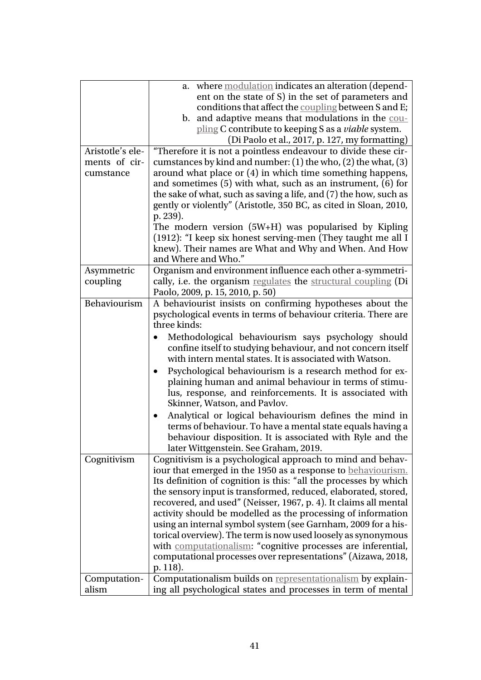<span id="page-40-4"></span><span id="page-40-3"></span><span id="page-40-2"></span><span id="page-40-1"></span><span id="page-40-0"></span>

|                  | where modulation indicates an alteration (depend-<br>a.              |
|------------------|----------------------------------------------------------------------|
|                  | ent on the state of S) in the set of parameters and                  |
|                  | conditions that affect the coupling between S and E;                 |
|                  | b. and adaptive means that modulations in the cou-                   |
|                  | pling C contribute to keeping S as a <i>viable</i> system.           |
|                  | (Di Paolo et al., 2017, p. 127, my formatting)                       |
| Aristotle's ele- | "Therefore it is not a pointless endeavour to divide these cir-      |
| ments of cir-    | cumstances by kind and number: (1) the who, (2) the what, (3)        |
| cumstance        | around what place or (4) in which time something happens,            |
|                  | and sometimes $(5)$ with what, such as an instrument, $(6)$ for      |
|                  | the sake of what, such as saving a life, and (7) the how, such as    |
|                  | gently or violently" (Aristotle, 350 BC, as cited in Sloan, 2010,    |
|                  | p. 239).                                                             |
|                  | The modern version (5W+H) was popularised by Kipling                 |
|                  | (1912): "I keep six honest serving-men (They taught me all I         |
|                  | knew). Their names are What and Why and When. And How                |
|                  | and Where and Who."                                                  |
| Asymmetric       | Organism and environment influence each other a-symmetri-            |
| coupling         | cally, i.e. the organism regulates the structural coupling (Di       |
|                  | Paolo, 2009, p. 15, 2010, p. 50)                                     |
| Behaviourism     | A behaviourist insists on confirming hypotheses about the            |
|                  | psychological events in terms of behaviour criteria. There are       |
|                  | three kinds:                                                         |
|                  | Methodological behaviourism says psychology should                   |
|                  | confine itself to studying behaviour, and not concern itself         |
|                  | with intern mental states. It is associated with Watson.             |
|                  | Psychological behaviourism is a research method for ex-              |
|                  | plaining human and animal behaviour in terms of stimu-               |
|                  | lus, response, and reinforcements. It is associated with             |
|                  | Skinner, Watson, and Pavlov.                                         |
|                  | Analytical or logical behaviourism defines the mind in               |
|                  | terms of behaviour. To have a mental state equals having a           |
|                  | behaviour disposition. It is associated with Ryle and the            |
|                  | later Wittgenstein. See Graham, 2019.                                |
| Cognitivism      | Cognitivism is a psychological approach to mind and behav-           |
|                  | iour that emerged in the 1950 as a response to behaviourism.         |
|                  | Its definition of cognition is this: "all the processes by which     |
|                  | the sensory input is transformed, reduced, elaborated, stored,       |
|                  | recovered, and used" (Neisser, 1967, p. 4). It claims all mental     |
|                  | activity should be modelled as the processing of information         |
|                  | using an internal symbol system (see Garnham, 2009 for a his-        |
|                  | torical overview). The term is now used loosely as synonymous        |
|                  | with <b>computationalism</b> : "cognitive processes are inferential, |
|                  | computational processes over representations" (Aizawa, 2018,         |
|                  | p. 118).                                                             |
| Computation-     | Computationalism builds on representationalism by explain-           |
| alism            | ing all psychological states and processes in term of mental         |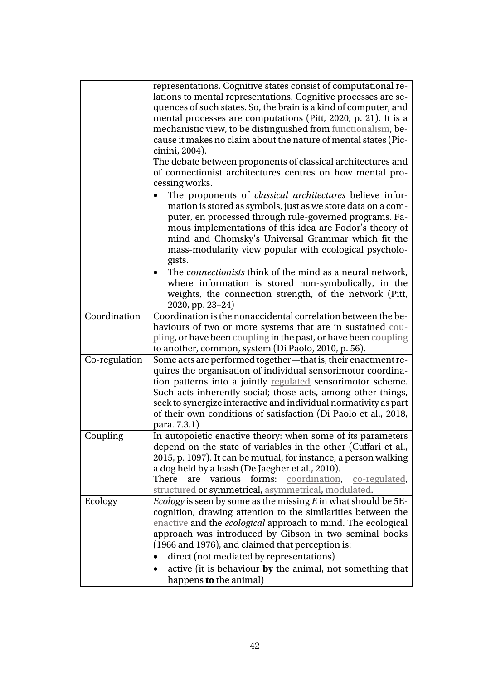<span id="page-41-3"></span><span id="page-41-2"></span><span id="page-41-1"></span><span id="page-41-0"></span>

|               | representations. Cognitive states consist of computational re-                    |  |  |  |  |
|---------------|-----------------------------------------------------------------------------------|--|--|--|--|
|               | lations to mental representations. Cognitive processes are se-                    |  |  |  |  |
|               | quences of such states. So, the brain is a kind of computer, and                  |  |  |  |  |
|               | mental processes are computations (Pitt, 2020, p. 21). It is a                    |  |  |  |  |
|               | mechanistic view, to be distinguished from functionalism, be-                     |  |  |  |  |
|               | cause it makes no claim about the nature of mental states (Pic-                   |  |  |  |  |
|               |                                                                                   |  |  |  |  |
|               | cinini, 2004).                                                                    |  |  |  |  |
|               | The debate between proponents of classical architectures and                      |  |  |  |  |
|               | of connectionist architectures centres on how mental pro-                         |  |  |  |  |
|               | cessing works.                                                                    |  |  |  |  |
|               | The proponents of <i>classical architectures</i> believe infor-                   |  |  |  |  |
|               | mation is stored as symbols, just as we store data on a com-                      |  |  |  |  |
|               | puter, en processed through rule-governed programs. Fa-                           |  |  |  |  |
|               | mous implementations of this idea are Fodor's theory of                           |  |  |  |  |
|               | mind and Chomsky's Universal Grammar which fit the                                |  |  |  |  |
|               | mass-modularity view popular with ecological psycholo-                            |  |  |  |  |
|               | gists.                                                                            |  |  |  |  |
|               | The <i>connectionists</i> think of the mind as a neural network,                  |  |  |  |  |
|               | where information is stored non-symbolically, in the                              |  |  |  |  |
|               | weights, the connection strength, of the network (Pitt,                           |  |  |  |  |
|               |                                                                                   |  |  |  |  |
| Coordination  | 2020, pp. 23-24)<br>Coordination is the nonaccidental correlation between the be- |  |  |  |  |
|               |                                                                                   |  |  |  |  |
|               | haviours of two or more systems that are in sustained cou-                        |  |  |  |  |
|               | pling, or have been coupling in the past, or have been coupling                   |  |  |  |  |
|               | to another, common, system (Di Paolo, 2010, p. 56).                               |  |  |  |  |
| Co-regulation | Some acts are performed together-that is, their enactment re-                     |  |  |  |  |
|               | quires the organisation of individual sensorimotor coordina-                      |  |  |  |  |
|               | tion patterns into a jointly regulated sensorimotor scheme.                       |  |  |  |  |
|               | Such acts inherently social; those acts, among other things,                      |  |  |  |  |
|               | seek to synergize interactive and individual normativity as part                  |  |  |  |  |
|               | of their own conditions of satisfaction (Di Paolo et al., 2018,                   |  |  |  |  |
|               | para. 7.3.1)                                                                      |  |  |  |  |
| Coupling      | In autopoietic enactive theory: when some of its parameters                       |  |  |  |  |
|               | depend on the state of variables in the other (Cuffari et al.,                    |  |  |  |  |
|               | 2015, p. 1097). It can be mutual, for instance, a person walking                  |  |  |  |  |
|               | a dog held by a leash (De Jaegher et al., 2010).                                  |  |  |  |  |
|               | There<br>are various forms: coordination,<br>co-regulated,                        |  |  |  |  |
|               | structured or symmetrical, asymmetrical, modulated.                               |  |  |  |  |
| Ecology       | <i>Ecology</i> is seen by some as the missing $E$ in what should be 5E-           |  |  |  |  |
|               | cognition, drawing attention to the similarities between the                      |  |  |  |  |
|               | enactive and the <i>ecological</i> approach to mind. The ecological               |  |  |  |  |
|               | approach was introduced by Gibson in two seminal books                            |  |  |  |  |
|               |                                                                                   |  |  |  |  |
|               | (1966 and 1976), and claimed that perception is:                                  |  |  |  |  |
|               | direct (not mediated by representations)                                          |  |  |  |  |
|               | active (it is behaviour by the animal, not something that                         |  |  |  |  |
|               | happens to the animal)                                                            |  |  |  |  |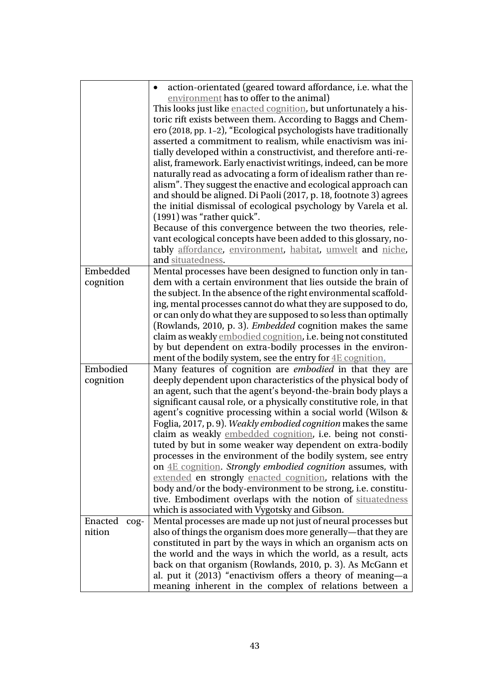<span id="page-42-2"></span><span id="page-42-1"></span><span id="page-42-0"></span>

|                     | action-orientated (geared toward affordance, i.e. what the          |  |  |  |
|---------------------|---------------------------------------------------------------------|--|--|--|
|                     | environment has to offer to the animal)                             |  |  |  |
|                     | This looks just like enacted cognition, but unfortunately a his-    |  |  |  |
|                     | toric rift exists between them. According to Baggs and Chem-        |  |  |  |
|                     | ero (2018, pp. 1-2), "Ecological psychologists have traditionally   |  |  |  |
|                     | asserted a commitment to realism, while enactivism was ini-         |  |  |  |
|                     | tially developed within a constructivist, and therefore anti-re-    |  |  |  |
|                     | alist, framework. Early enactivist writings, indeed, can be more    |  |  |  |
|                     | naturally read as advocating a form of idealism rather than re-     |  |  |  |
|                     | alism". They suggest the enactive and ecological approach can       |  |  |  |
|                     | and should be aligned. Di Paoli (2017, p. 18, footnote 3) agrees    |  |  |  |
|                     | the initial dismissal of ecological psychology by Varela et al.     |  |  |  |
|                     | (1991) was "rather quick".                                          |  |  |  |
|                     | Because of this convergence between the two theories, rele-         |  |  |  |
|                     | vant ecological concepts have been added to this glossary, no-      |  |  |  |
|                     | tably affordance, environment, habitat, umwelt and niche,           |  |  |  |
|                     | and situatedness.                                                   |  |  |  |
| Embedded            | Mental processes have been designed to function only in tan-        |  |  |  |
| cognition           | dem with a certain environment that lies outside the brain of       |  |  |  |
|                     | the subject. In the absence of the right environmental scaffold-    |  |  |  |
|                     | ing, mental processes cannot do what they are supposed to do,       |  |  |  |
|                     | or can only do what they are supposed to so less than optimally     |  |  |  |
|                     | (Rowlands, 2010, p. 3). <i>Embedded</i> cognition makes the same    |  |  |  |
|                     | claim as weakly embodied cognition, i.e. being not constituted      |  |  |  |
|                     | by but dependent on extra-bodily processes in the environ-          |  |  |  |
|                     | ment of the bodily system, see the entry for 4E cognition.          |  |  |  |
| Embodied            | Many features of cognition are embodied in that they are            |  |  |  |
| cognition           | deeply dependent upon characteristics of the physical body of       |  |  |  |
|                     | an agent, such that the agent's beyond-the-brain body plays a       |  |  |  |
|                     | significant causal role, or a physically constitutive role, in that |  |  |  |
|                     | agent's cognitive processing within a social world (Wilson &        |  |  |  |
|                     | Foglia, 2017, p. 9). Weakly embodied cognition makes the same       |  |  |  |
|                     | claim as weakly embedded cognition, i.e. being not consti-          |  |  |  |
|                     | tuted by but in some weaker way dependent on extra-bodily           |  |  |  |
|                     | processes in the environment of the bodily system, see entry        |  |  |  |
|                     | on 4E cognition. Strongly embodied cognition assumes, with          |  |  |  |
|                     | extended en strongly enacted cognition, relations with the          |  |  |  |
|                     | body and/or the body-environment to be strong, i.e. constitu-       |  |  |  |
|                     | tive. Embodiment overlaps with the notion of situatedness           |  |  |  |
|                     | which is associated with Vygotsky and Gibson.                       |  |  |  |
| Enacted<br>$\cos$ - | Mental processes are made up not just of neural processes but       |  |  |  |
| nition              | also of things the organism does more generally—that they are       |  |  |  |
|                     | constituted in part by the ways in which an organism acts on        |  |  |  |
|                     | the world and the ways in which the world, as a result, acts        |  |  |  |
|                     | back on that organism (Rowlands, 2010, p. 3). As McGann et          |  |  |  |
|                     | al. put it (2013) "enactivism offers a theory of meaning—a          |  |  |  |
|                     | meaning inherent in the complex of relations between a              |  |  |  |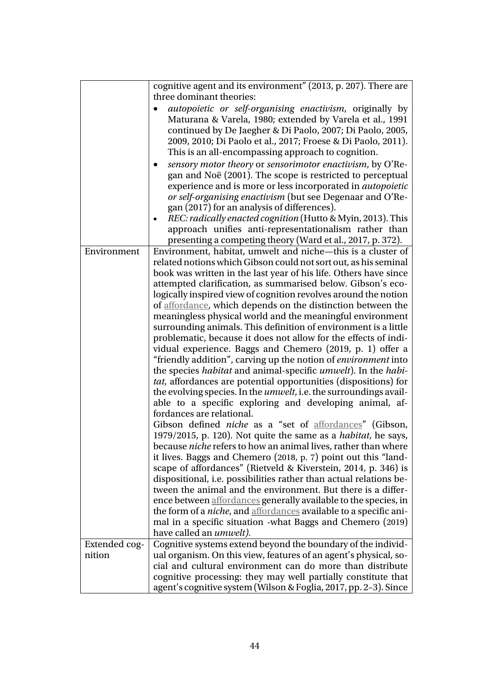<span id="page-43-2"></span><span id="page-43-1"></span><span id="page-43-0"></span>

|                         | cognitive agent and its environment" (2013, p. 207). There are                                                                          |
|-------------------------|-----------------------------------------------------------------------------------------------------------------------------------------|
|                         | three dominant theories:<br>autopoietic or self-organising enactivism, originally by                                                    |
|                         | Maturana & Varela, 1980; extended by Varela et al., 1991                                                                                |
|                         | continued by De Jaegher & Di Paolo, 2007; Di Paolo, 2005,                                                                               |
|                         | 2009, 2010; Di Paolo et al., 2017; Froese & Di Paolo, 2011).<br>This is an all-encompassing approach to cognition.                      |
|                         | sensory motor theory or sensorimotor enactivism, by O'Re-<br>$\bullet$                                                                  |
|                         | gan and Noë (2001). The scope is restricted to perceptual                                                                               |
|                         | experience and is more or less incorporated in <i>autopoietic</i>                                                                       |
|                         | or self-organising enactivism (but see Degenaar and O'Re-<br>gan (2017) for an analysis of differences).                                |
|                         | REC: radically enacted cognition (Hutto & Myin, 2013). This                                                                             |
|                         | approach unifies anti-representationalism rather than                                                                                   |
|                         | presenting a competing theory (Ward et al., 2017, p. 372).                                                                              |
| Environment             | Environment, habitat, umwelt and niche-this is a cluster of<br>related notions which Gibson could not sort out, as his seminal          |
|                         | book was written in the last year of his life. Others have since                                                                        |
|                         | attempted clarification, as summarised below. Gibson's eco-                                                                             |
|                         | logically inspired view of cognition revolves around the notion<br>of affordance, which depends on the distinction between the          |
|                         | meaningless physical world and the meaningful environment                                                                               |
|                         | surrounding animals. This definition of environment is a little                                                                         |
|                         | problematic, because it does not allow for the effects of indi-                                                                         |
|                         | vidual experience. Baggs and Chemero (2019, p. 1) offer a<br>"friendly addition", carving up the notion of <i>environment</i> into      |
|                         | the species <i>habitat</i> and animal-specific <i>umwelt</i> ). In the <i>habi</i> -                                                    |
|                         | tat, affordances are potential opportunities (dispositions) for                                                                         |
|                         | the evolving species. In the <i>umwelt</i> , i.e. the surroundings avail-<br>able to a specific exploring and developing animal, af-    |
|                         | fordances are relational.                                                                                                               |
|                         | Gibson defined <i>niche</i> as a "set of <b>affordances</b> " (Gibson,                                                                  |
|                         | 1979/2015, p. 120). Not quite the same as a <i>habitat</i> , he says,                                                                   |
|                         | because <i>niche</i> refers to how an animal lives, rather than where<br>it lives. Baggs and Chemero (2018, p. 7) point out this "land- |
|                         | scape of affordances" (Rietveld & Kiverstein, 2014, p. 346) is                                                                          |
|                         | dispositional, i.e. possibilities rather than actual relations be-                                                                      |
|                         | tween the animal and the environment. But there is a differ-<br>ence between affordances generally available to the species, in         |
|                         | the form of a <i>niche</i> , and <b>affordances</b> available to a specific ani-                                                        |
|                         | mal in a specific situation -what Baggs and Chemero (2019)                                                                              |
|                         | have called an <i>umwelt</i> ).                                                                                                         |
| Extended cog-<br>nition | Cognitive systems extend beyond the boundary of the individ-<br>ual organism. On this view, features of an agent's physical, so-        |
|                         | cial and cultural environment can do more than distribute                                                                               |
|                         | cognitive processing: they may well partially constitute that                                                                           |
|                         | agent's cognitive system (Wilson & Foglia, 2017, pp. 2–3). Since                                                                        |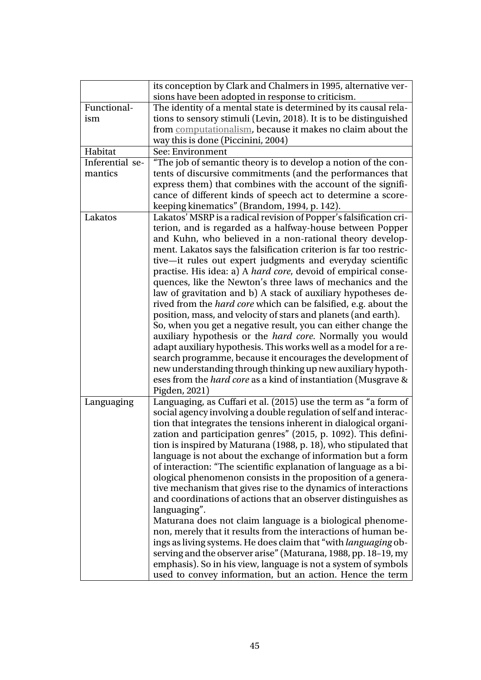<span id="page-44-2"></span><span id="page-44-1"></span><span id="page-44-0"></span>

|                 | its conception by Clark and Chalmers in 1995, alternative ver-         |
|-----------------|------------------------------------------------------------------------|
|                 | sions have been adopted in response to criticism.                      |
| Functional-     | The identity of a mental state is determined by its causal rela-       |
| ism             | tions to sensory stimuli (Levin, 2018). It is to be distinguished      |
|                 | from computationalism, because it makes no claim about the             |
|                 | way this is done (Piccinini, 2004)                                     |
| Habitat         | See: Environment                                                       |
| Inferential se- | "The job of semantic theory is to develop a notion of the con-         |
| mantics         | tents of discursive commitments (and the performances that             |
|                 | express them) that combines with the account of the signifi-           |
|                 | cance of different kinds of speech act to determine a score-           |
|                 | keeping kinematics" (Brandom, 1994, p. 142).                           |
| Lakatos         | Lakatos' MSRP is a radical revision of Popper's falsification cri-     |
|                 | terion, and is regarded as a halfway-house between Popper              |
|                 | and Kuhn, who believed in a non-rational theory develop-               |
|                 | ment. Lakatos says the falsification criterion is far too restric-     |
|                 | tive-it rules out expert judgments and everyday scientific             |
|                 | practise. His idea: a) A hard core, devoid of empirical conse-         |
|                 | quences, like the Newton's three laws of mechanics and the             |
|                 | law of gravitation and b) A stack of auxiliary hypotheses de-          |
|                 | rived from the <i>hard core</i> which can be falsified, e.g. about the |
|                 | position, mass, and velocity of stars and planets (and earth).         |
|                 | So, when you get a negative result, you can either change the          |
|                 | auxiliary hypothesis or the <i>hard core</i> . Normally you would      |
|                 | adapt auxiliary hypothesis. This works well as a model for a re-       |
|                 | search programme, because it encourages the development of             |
|                 | new understanding through thinking up new auxiliary hypoth-            |
|                 | eses from the <i>hard core</i> as a kind of instantiation (Musgrave &  |
|                 | Pigden, 2021)                                                          |
| Languaging      | Languaging, as Cuffari et al. (2015) use the term as "a form of        |
|                 | social agency involving a double regulation of self and interac-       |
|                 | tion that integrates the tensions inherent in dialogical organi-       |
|                 | zation and participation genres" (2015, p. 1092). This defini-         |
|                 | tion is inspired by Maturana (1988, p. 18), who stipulated that        |
|                 | language is not about the exchange of information but a form           |
|                 | of interaction: "The scientific explanation of language as a bi-       |
|                 | ological phenomenon consists in the proposition of a genera-           |
|                 | tive mechanism that gives rise to the dynamics of interactions         |
|                 | and coordinations of actions that an observer distinguishes as         |
|                 | languaging".                                                           |
|                 | Maturana does not claim language is a biological phenome-              |
|                 | non, merely that it results from the interactions of human be-         |
|                 | ings as living systems. He does claim that "with languaging ob-        |
|                 | serving and the observer arise" (Maturana, 1988, pp. 18-19, my         |
|                 | emphasis). So in his view, language is not a system of symbols         |
|                 | used to convey information, but an action. Hence the term              |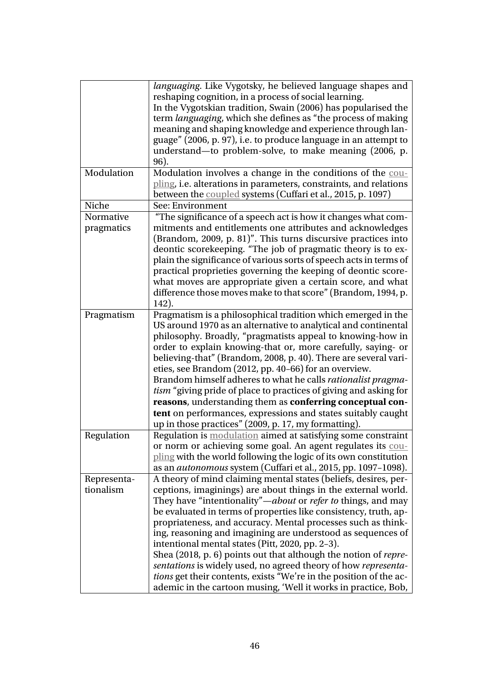<span id="page-45-3"></span><span id="page-45-2"></span><span id="page-45-1"></span><span id="page-45-0"></span>

|             | languaging. Like Vygotsky, he believed language shapes and<br>reshaping cognition, in a process of social learning.<br>In the Vygotskian tradition, Swain (2006) has popularised the<br>term <i>languaging</i> , which she defines as "the process of making<br>meaning and shaping knowledge and experience through lan-<br>guage" (2006, p. 97), i.e. to produce language in an attempt to<br>understand—to problem-solve, to make meaning (2006, p.<br>96).                                                                                                                                                                                                                                                            |
|-------------|---------------------------------------------------------------------------------------------------------------------------------------------------------------------------------------------------------------------------------------------------------------------------------------------------------------------------------------------------------------------------------------------------------------------------------------------------------------------------------------------------------------------------------------------------------------------------------------------------------------------------------------------------------------------------------------------------------------------------|
| Modulation  | Modulation involves a change in the conditions of the cou-<br>pling, i.e. alterations in parameters, constraints, and relations<br>between the coupled systems (Cuffari et al., 2015, p. 1097)                                                                                                                                                                                                                                                                                                                                                                                                                                                                                                                            |
| Niche       | See: Environment                                                                                                                                                                                                                                                                                                                                                                                                                                                                                                                                                                                                                                                                                                          |
| Normative   | "The significance of a speech act is how it changes what com-                                                                                                                                                                                                                                                                                                                                                                                                                                                                                                                                                                                                                                                             |
| pragmatics  | mitments and entitlements one attributes and acknowledges<br>(Brandom, 2009, p. 81)". This turns discursive practices into<br>deontic scorekeeping. "The job of pragmatic theory is to ex-<br>plain the significance of various sorts of speech acts in terms of<br>practical proprieties governing the keeping of deontic score-<br>what moves are appropriate given a certain score, and what<br>difference those moves make to that score" (Brandom, 1994, p.<br>142).                                                                                                                                                                                                                                                 |
| Pragmatism  | Pragmatism is a philosophical tradition which emerged in the<br>US around 1970 as an alternative to analytical and continental<br>philosophy. Broadly, "pragmatists appeal to knowing-how in<br>order to explain knowing-that or, more carefully, saying- or<br>believing-that" (Brandom, 2008, p. 40). There are several vari-<br>eties, see Brandom (2012, pp. 40-66) for an overview.<br>Brandom himself adheres to what he calls rationalist pragma-<br><i>tism</i> "giving pride of place to practices of giving and asking for<br>reasons, understanding them as conferring conceptual con-<br>tent on performances, expressions and states suitably caught<br>up in those practices" (2009, p. 17, my formatting). |
| Regulation  | Regulation is modulation aimed at satisfying some constraint<br>or norm or achieving some goal. An agent regulates its cou-<br>pling with the world following the logic of its own constitution<br>as an <i>autonomous</i> system (Cuffari et al., 2015, pp. 1097-1098).                                                                                                                                                                                                                                                                                                                                                                                                                                                  |
| Representa- | A theory of mind claiming mental states (beliefs, desires, per-                                                                                                                                                                                                                                                                                                                                                                                                                                                                                                                                                                                                                                                           |
| tionalism   | ceptions, imaginings) are about things in the external world.<br>They have "intentionality"—about or refer to things, and may<br>be evaluated in terms of properties like consistency, truth, ap-<br>propriateness, and accuracy. Mental processes such as think-<br>ing, reasoning and imagining are understood as sequences of<br>intentional mental states (Pitt, 2020, pp. 2-3).<br>Shea (2018, p. 6) points out that although the notion of repre-<br>sentations is widely used, no agreed theory of how representa-<br>tions get their contents, exists "We're in the position of the ac-<br>ademic in the cartoon musing, 'Well it works in practice, Bob,                                                         |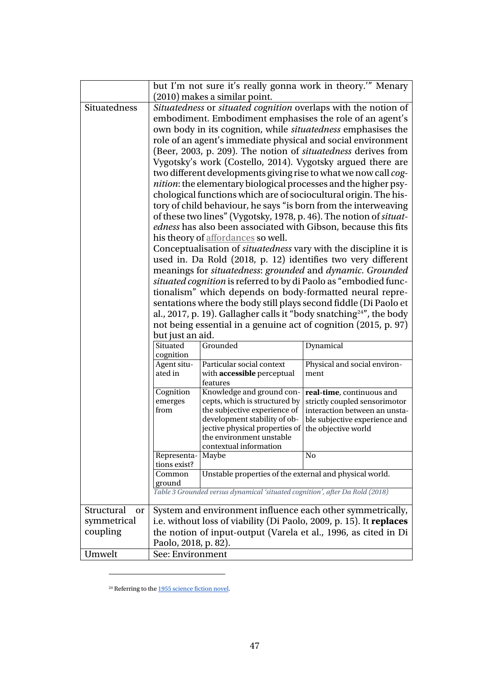<span id="page-46-0"></span>

|                                             | but I'm not sure it's really gonna work in theory." Menary<br>(2010) makes a similar point.                                                                                                                                                                                                                                                                                                                                                                                                                                                                                                                                                                                                                                                                                                                                                                                                                                                                                                                                                                                                                                                                                                                                                                                                                                                                                                                                                           |                                                                                                                                                                                                                    |                                                                                                                                                                                                      |  |  |
|---------------------------------------------|-------------------------------------------------------------------------------------------------------------------------------------------------------------------------------------------------------------------------------------------------------------------------------------------------------------------------------------------------------------------------------------------------------------------------------------------------------------------------------------------------------------------------------------------------------------------------------------------------------------------------------------------------------------------------------------------------------------------------------------------------------------------------------------------------------------------------------------------------------------------------------------------------------------------------------------------------------------------------------------------------------------------------------------------------------------------------------------------------------------------------------------------------------------------------------------------------------------------------------------------------------------------------------------------------------------------------------------------------------------------------------------------------------------------------------------------------------|--------------------------------------------------------------------------------------------------------------------------------------------------------------------------------------------------------------------|------------------------------------------------------------------------------------------------------------------------------------------------------------------------------------------------------|--|--|
| Situatedness                                | Situatedness or situated cognition overlaps with the notion of<br>embodiment. Embodiment emphasises the role of an agent's<br>own body in its cognition, while situatedness emphasises the<br>role of an agent's immediate physical and social environment<br>(Beer, 2003, p. 209). The notion of <i>situatedness</i> derives from<br>Vygotsky's work (Costello, 2014). Vygotsky argued there are<br>two different developments giving rise to what we now call cog-<br><i>nition</i> : the elementary biological processes and the higher psy-<br>chological functions which are of sociocultural origin. The his-<br>tory of child behaviour, he says "is born from the interweaving<br>of these two lines" (Vygotsky, 1978, p. 46). The notion of <i>situat</i> -<br><i>edness</i> has also been associated with Gibson, because this fits<br>his theory of affordances so well.<br>Conceptualisation of <i>situatedness</i> vary with the discipline it is<br>used in. Da Rold (2018, p. 12) identifies two very different<br>meanings for situatedness: grounded and dynamic. Grounded<br>situated cognition is referred to by di Paolo as "embodied func-<br>tionalism" which depends on body-formatted neural repre-<br>sentations where the body still plays second fiddle (Di Paolo et<br>al., 2017, p. 19). Gallagher calls it "body snatching <sup>24"</sup> , the body<br>not being essential in a genuine act of cognition (2015, p. 97) |                                                                                                                                                                                                                    |                                                                                                                                                                                                      |  |  |
|                                             | but just an aid.                                                                                                                                                                                                                                                                                                                                                                                                                                                                                                                                                                                                                                                                                                                                                                                                                                                                                                                                                                                                                                                                                                                                                                                                                                                                                                                                                                                                                                      |                                                                                                                                                                                                                    |                                                                                                                                                                                                      |  |  |
|                                             | Grounded<br>Situated<br>Dynamical<br>cognition                                                                                                                                                                                                                                                                                                                                                                                                                                                                                                                                                                                                                                                                                                                                                                                                                                                                                                                                                                                                                                                                                                                                                                                                                                                                                                                                                                                                        |                                                                                                                                                                                                                    |                                                                                                                                                                                                      |  |  |
|                                             | Agent situ-<br>ated in                                                                                                                                                                                                                                                                                                                                                                                                                                                                                                                                                                                                                                                                                                                                                                                                                                                                                                                                                                                                                                                                                                                                                                                                                                                                                                                                                                                                                                | Particular social context<br>with accessible perceptual<br>features                                                                                                                                                | Physical and social environ-<br>ment                                                                                                                                                                 |  |  |
|                                             | Cognition<br>emerges<br>from                                                                                                                                                                                                                                                                                                                                                                                                                                                                                                                                                                                                                                                                                                                                                                                                                                                                                                                                                                                                                                                                                                                                                                                                                                                                                                                                                                                                                          | Knowledge and ground con-<br>cepts, which is structured by<br>the subjective experience of<br>development stability of ob-<br>jective physical properties of<br>the environment unstable<br>contextual information | real-time, continuous and<br>strictly coupled sensorimotor<br>interaction between an unsta-<br>ble subjective experience and<br>the objective world                                                  |  |  |
|                                             | Representa-<br>tions exist?                                                                                                                                                                                                                                                                                                                                                                                                                                                                                                                                                                                                                                                                                                                                                                                                                                                                                                                                                                                                                                                                                                                                                                                                                                                                                                                                                                                                                           | Maybe                                                                                                                                                                                                              | No                                                                                                                                                                                                   |  |  |
|                                             | Common<br>ground                                                                                                                                                                                                                                                                                                                                                                                                                                                                                                                                                                                                                                                                                                                                                                                                                                                                                                                                                                                                                                                                                                                                                                                                                                                                                                                                                                                                                                      | Unstable properties of the external and physical world.                                                                                                                                                            |                                                                                                                                                                                                      |  |  |
|                                             |                                                                                                                                                                                                                                                                                                                                                                                                                                                                                                                                                                                                                                                                                                                                                                                                                                                                                                                                                                                                                                                                                                                                                                                                                                                                                                                                                                                                                                                       | Table 3 Grounded versus dynamical 'situated cognition', after Da Rold (2018)                                                                                                                                       |                                                                                                                                                                                                      |  |  |
| Structural<br>or<br>symmetrical<br>coupling | Paolo, 2018, p. 82).                                                                                                                                                                                                                                                                                                                                                                                                                                                                                                                                                                                                                                                                                                                                                                                                                                                                                                                                                                                                                                                                                                                                                                                                                                                                                                                                                                                                                                  |                                                                                                                                                                                                                    | System and environment influence each other symmetrically,<br>i.e. without loss of viability (Di Paolo, 2009, p. 15). It replaces<br>the notion of input-output (Varela et al., 1996, as cited in Di |  |  |
| Umwelt                                      | See: Environment                                                                                                                                                                                                                                                                                                                                                                                                                                                                                                                                                                                                                                                                                                                                                                                                                                                                                                                                                                                                                                                                                                                                                                                                                                                                                                                                                                                                                                      |                                                                                                                                                                                                                    |                                                                                                                                                                                                      |  |  |

<span id="page-46-3"></span><span id="page-46-2"></span><span id="page-46-1"></span><sup>&</sup>lt;sup>24</sup> Referring to the **1955** science fiction novel.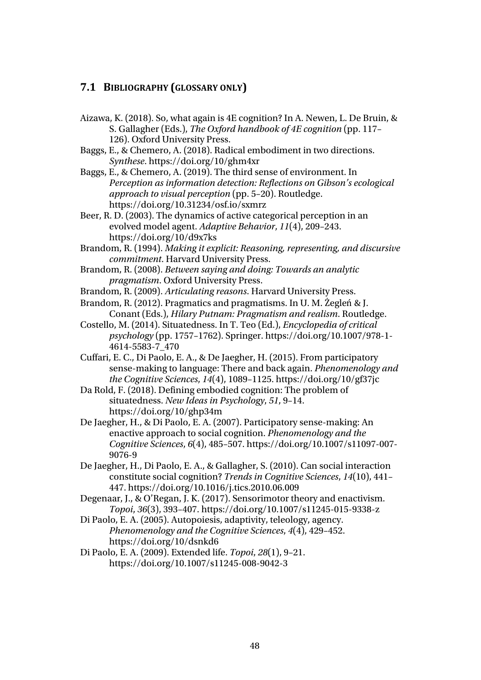#### **7.1 BIBLIOGRAPHY (GLOSSARY ONLY)**

- Aizawa, K. (2018). So, what again is 4E cognition? In A. Newen, L. De Bruin, & S. Gallagher (Eds.), *The Oxford handbook of 4E cognition* (pp. 117– 126). Oxford University Press.
- Baggs, E., & Chemero, A. (2018). Radical embodiment in two directions. *Synthese*. https://doi.org/10/ghm4xr
- Baggs, E., & Chemero, A. (2019). The third sense of environment. In *Perception as information detection: Reflections on Gibson's ecological approach to visual perception* (pp. 5–20). Routledge. https://doi.org/10.31234/osf.io/sxmrz
- Beer, R. D. (2003). The dynamics of active categorical perception in an evolved model agent. *Adaptive Behavior*, *11*(4), 209–243. https://doi.org/10/d9x7ks
- Brandom, R. (1994). *Making it explicit: Reasoning, representing, and discursive commitment*. Harvard University Press.
- Brandom, R. (2008). *Between saying and doing: Towards an analytic pragmatism*. Oxford University Press.
- Brandom, R. (2009). *Articulating reasons*. Harvard University Press.
- Brandom, R. (2012). Pragmatics and pragmatisms. In U. M. Żegleń & J. Conant (Eds.), *Hilary Putnam: Pragmatism and realism*. Routledge.
- Costello, M. (2014). Situatedness. In T. Teo (Ed.), *Encyclopedia of critical psychology* (pp. 1757–1762). Springer. https://doi.org/10.1007/978-1- 4614-5583-7\_470
- Cuffari, E. C., Di Paolo, E. A., & De Jaegher, H. (2015). From participatory sense-making to language: There and back again. *Phenomenology and the Cognitive Sciences*, *14*(4), 1089–1125. https://doi.org/10/gf37jc
- Da Rold, F. (2018). Defining embodied cognition: The problem of situatedness. *New Ideas in Psychology*, *51*, 9–14. https://doi.org/10/ghp34m
- De Jaegher, H., & Di Paolo, E. A. (2007). Participatory sense-making: An enactive approach to social cognition. *Phenomenology and the Cognitive Sciences*, *6*(4), 485–507. https://doi.org/10.1007/s11097-007- 9076-9
- De Jaegher, H., Di Paolo, E. A., & Gallagher, S. (2010). Can social interaction constitute social cognition? *Trends in Cognitive Sciences*, *14*(10), 441– 447. https://doi.org/10.1016/j.tics.2010.06.009
- Degenaar, J., & O'Regan, J. K. (2017). Sensorimotor theory and enactivism. *Topoi*, *36*(3), 393–407. https://doi.org/10.1007/s11245-015-9338-z
- Di Paolo, E. A. (2005). Autopoiesis, adaptivity, teleology, agency. *Phenomenology and the Cognitive Sciences*, *4*(4), 429–452. https://doi.org/10/dsnkd6
- Di Paolo, E. A. (2009). Extended life. *Topoi*, *28*(1), 9–21. https://doi.org/10.1007/s11245-008-9042-3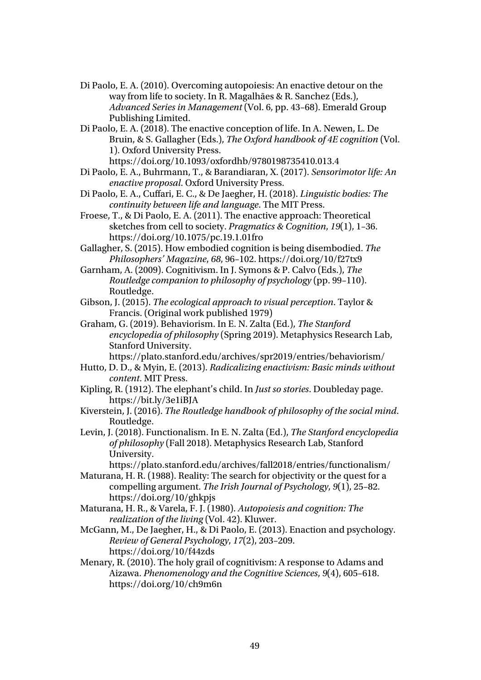- Di Paolo, E. A. (2010). Overcoming autopoiesis: An enactive detour on the way from life to society. In R. Magalhães & R. Sanchez (Eds.), *Advanced Series in Management* (Vol. 6, pp. 43–68). Emerald Group Publishing Limited.
- Di Paolo, E. A. (2018). The enactive conception of life. In A. Newen, L. De Bruin, & S. Gallagher (Eds.), *The Oxford handbook of 4E cognition* (Vol. 1). Oxford University Press. https://doi.org/10.1093/oxfordhb/9780198735410.013.4
- Di Paolo, E. A., Buhrmann, T., & Barandiaran, X. (2017). *Sensorimotor life: An enactive proposal*. Oxford University Press.
- Di Paolo, E. A., Cuffari, E. C., & De Jaegher, H. (2018). *Linguistic bodies: The continuity between life and language*. The MIT Press.
- Froese, T., & Di Paolo, E. A. (2011). The enactive approach: Theoretical sketches from cell to society. *Pragmatics & Cognition*, *19*(1), 1–36. https://doi.org/10.1075/pc.19.1.01fro
- Gallagher, S. (2015). How embodied cognition is being disembodied. *The Philosophers' Magazine*, *68*, 96–102. https://doi.org/10/f27tx9
- Garnham, A. (2009). Cognitivism. In J. Symons & P. Calvo (Eds.), *The Routledge companion to philosophy of psychology* (pp. 99–110). Routledge.
- Gibson, J. (2015). *The ecological approach to visual perception*. Taylor & Francis. (Original work published 1979)
- Graham, G. (2019). Behaviorism. In E. N. Zalta (Ed.), *The Stanford encyclopedia of philosophy* (Spring 2019). Metaphysics Research Lab, Stanford University.
	- https://plato.stanford.edu/archives/spr2019/entries/behaviorism/
- Hutto, D. D., & Myin, E. (2013). *Radicalizing enactivism: Basic minds without content*. MIT Press.
- Kipling, R. (1912). The elephant's child. In *Just so stories*. Doubleday page. https://bit.ly/3e1iBJA
- Kiverstein, J. (2016). *The Routledge handbook of philosophy of the social mind*. Routledge.
- Levin, J. (2018). Functionalism. In E. N. Zalta (Ed.), *The Stanford encyclopedia of philosophy* (Fall 2018). Metaphysics Research Lab, Stanford University.

https://plato.stanford.edu/archives/fall2018/entries/functionalism/ Maturana, H. R. (1988). Reality: The search for objectivity or the quest for a

- compelling argument. *The Irish Journal of Psychology*, *9*(1), 25–82. https://doi.org/10/ghkpjs
- Maturana, H. R., & Varela, F. J. (1980). *Autopoiesis and cognition: The realization of the living* (Vol. 42). Kluwer.
- McGann, M., De Jaegher, H., & Di Paolo, E. (2013). Enaction and psychology. *Review of General Psychology*, *17*(2), 203–209. https://doi.org/10/f44zds

Menary, R. (2010). The holy grail of cognitivism: A response to Adams and Aizawa. *Phenomenology and the Cognitive Sciences*, *9*(4), 605–618. https://doi.org/10/ch9m6n